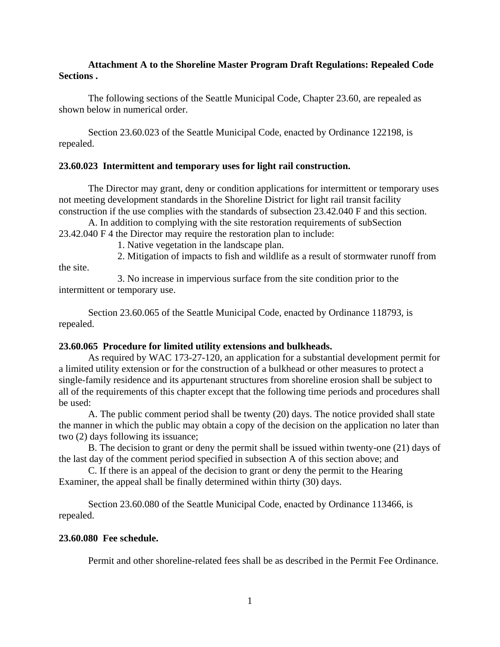## **Attachment A to the Shoreline Master Program Draft Regulations: Repealed Code Sections .**

The following sections of the Seattle Municipal Code, Chapter 23.60, are repealed as shown below in numerical order.

Section 23.60.023 of the Seattle Municipal Code, enacted by Ordinance 122198, is repealed.

# **23.60.023 Intermittent and temporary uses for light rail construction.**

The Director may grant, deny or condition applications for intermittent or temporary uses not meeting development standards in the Shoreline District for light rail transit facility construction if the use complies with the standards of subsection 23.42.040 F and this section.

A. In addition to complying with the site restoration requirements of subSection 23.42.040 F 4 the Director may require the restoration plan to include:

1. Native vegetation in the landscape plan.

2. Mitigation of impacts to fish and wildlife as a result of stormwater runoff from

3. No increase in impervious surface from the site condition prior to the intermittent or temporary use.

Section 23.60.065 of the Seattle Municipal Code, enacted by Ordinance 118793, is repealed.

## **23.60.065 Procedure for limited utility extensions and bulkheads.**

As required by WAC 173-27-120, an application for a substantial development permit for a limited utility extension or for the construction of a bulkhead or other measures to protect a single-family residence and its appurtenant structures from shoreline erosion shall be subject to all of the requirements of this chapter except that the following time periods and procedures shall be used:

A. The public comment period shall be twenty (20) days. The notice provided shall state the manner in which the public may obtain a copy of the decision on the application no later than two (2) days following its issuance;

B. The decision to grant or deny the permit shall be issued within twenty-one (21) days of the last day of the comment period specified in subsection A of this section above; and

C. If there is an appeal of the decision to grant or deny the permit to the Hearing Examiner, the appeal shall be finally determined within thirty (30) days.

Section 23.60.080 of the Seattle Municipal Code, enacted by Ordinance 113466, is repealed.

## **23.60.080 Fee schedule.**

the site.

Permit and other shoreline-related fees shall be as described in the Permit Fee Ordinance.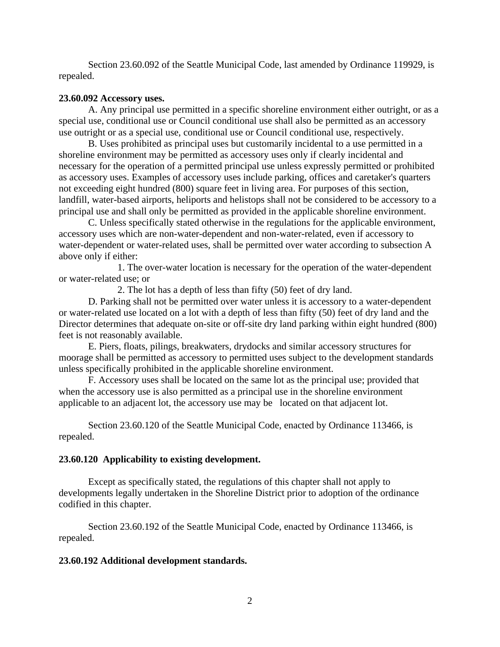Section 23.60.092 of the Seattle Municipal Code, last amended by Ordinance 119929, is repealed.

#### **23.60.092 Accessory uses.**

A. Any principal use permitted in a specific shoreline environment either outright, or as a special use, conditional use or Council conditional use shall also be permitted as an accessory use outright or as a special use, conditional use or Council conditional use, respectively.

B. Uses prohibited as principal uses but customarily incidental to a use permitted in a shoreline environment may be permitted as accessory uses only if clearly incidental and necessary for the operation of a permitted principal use unless expressly permitted or prohibited as accessory uses. Examples of accessory uses include parking, offices and caretaker's quarters not exceeding eight hundred (800) square feet in living area. For purposes of this section, landfill, water-based airports, heliports and helistops shall not be considered to be accessory to a principal use and shall only be permitted as provided in the applicable shoreline environment.

C. Unless specifically stated otherwise in the regulations for the applicable environment, accessory uses which are non-water-dependent and non-water-related, even if accessory to water-dependent or water-related uses, shall be permitted over water according to subsection A above only if either:

1. The over-water location is necessary for the operation of the water-dependent or water-related use; or

2. The lot has a depth of less than fifty (50) feet of dry land.

D. Parking shall not be permitted over water unless it is accessory to a water-dependent or water-related use located on a lot with a depth of less than fifty (50) feet of dry land and the Director determines that adequate on-site or off-site dry land parking within eight hundred (800) feet is not reasonably available.

E. Piers, floats, pilings, breakwaters, drydocks and similar accessory structures for moorage shall be permitted as accessory to permitted uses subject to the development standards unless specifically prohibited in the applicable shoreline environment.

F. Accessory uses shall be located on the same lot as the principal use; provided that when the accessory use is also permitted as a principal use in the shoreline environment applicable to an adjacent lot, the accessory use may be located on that adjacent lot.

Section 23.60.120 of the Seattle Municipal Code, enacted by Ordinance 113466, is repealed.

#### **23.60.120 Applicability to existing development.**

Except as specifically stated, the regulations of this chapter shall not apply to developments legally undertaken in the Shoreline District prior to adoption of the ordinance codified in this chapter.

Section 23.60.192 of the Seattle Municipal Code, enacted by Ordinance 113466, is repealed.

#### **23.60.192 Additional development standards.**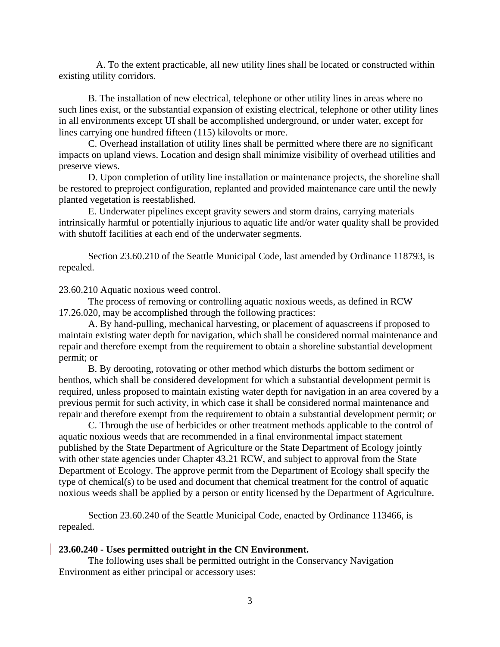A. To the extent practicable, all new utility lines shall be located or constructed within existing utility corridors.

B. The installation of new electrical, telephone or other utility lines in areas where no such lines exist, or the substantial expansion of existing electrical, telephone or other utility lines in all environments except UI shall be accomplished underground, or under water, except for lines carrying one hundred fifteen (115) kilovolts or more.

C. Overhead installation of utility lines shall be permitted where there are no significant impacts on upland views. Location and design shall minimize visibility of overhead utilities and preserve views.

 D. Upon completion of utility line installation or maintenance projects, the shoreline shall be restored to preproject configuration, replanted and provided maintenance care until the newly planted vegetation is reestablished.

 E. Underwater pipelines except gravity sewers and storm drains, carrying materials intrinsically harmful or potentially injurious to aquatic life and/or water quality shall be provided with shutoff facilities at each end of the underwater segments.

Section 23.60.210 of the Seattle Municipal Code, last amended by Ordinance 118793, is repealed.

23.60.210 Aquatic noxious weed control.

The process of removing or controlling aquatic noxious weeds, as defined in RCW 17.26.020, may be accomplished through the following practices:

A. By hand-pulling, mechanical harvesting, or placement of aquascreens if proposed to maintain existing water depth for navigation, which shall be considered normal maintenance and repair and therefore exempt from the requirement to obtain a shoreline substantial development permit; or

B. By derooting, rotovating or other method which disturbs the bottom sediment or benthos, which shall be considered development for which a substantial development permit is required, unless proposed to maintain existing water depth for navigation in an area covered by a previous permit for such activity, in which case it shall be considered normal maintenance and repair and therefore exempt from the requirement to obtain a substantial development permit; or

C. Through the use of herbicides or other treatment methods applicable to the control of aquatic noxious weeds that are recommended in a final environmental impact statement published by the State Department of Agriculture or the State Department of Ecology jointly with other state agencies under Chapter 43.21 RCW, and subject to approval from the State Department of Ecology. The approve permit from the Department of Ecology shall specify the type of chemical(s) to be used and document that chemical treatment for the control of aquatic noxious weeds shall be applied by a person or entity licensed by the Department of Agriculture.

Section 23.60.240 of the Seattle Municipal Code, enacted by Ordinance 113466, is repealed.

#### **23.60.240 - Uses permitted outright in the CN Environment.**

The following uses shall be permitted outright in the Conservancy Navigation Environment as either principal or accessory uses: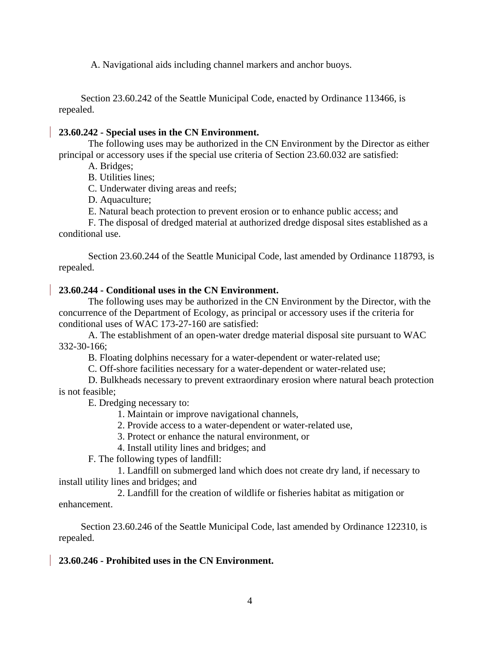A. Navigational aids including channel markers and anchor buoys.

Section 23.60.242 of the Seattle Municipal Code, enacted by Ordinance 113466, is repealed.

# **23.60.242 - Special uses in the CN Environment.**

The following uses may be authorized in the CN Environment by the Director as either principal or accessory uses if the special use criteria of Section 23.60.032 are satisfied:

A. Bridges;

B. Utilities lines;

C. Underwater diving areas and reefs;

D. Aquaculture;

E. Natural beach protection to prevent erosion or to enhance public access; and

F. The disposal of dredged material at authorized dredge disposal sites established as a conditional use.

Section 23.60.244 of the Seattle Municipal Code, last amended by Ordinance 118793, is repealed.

# **23.60.244 - Conditional uses in the CN Environment.**

The following uses may be authorized in the CN Environment by the Director, with the concurrence of the Department of Ecology, as principal or accessory uses if the criteria for conditional uses of WAC 173-27-160 are satisfied:

A. The establishment of an open-water dredge material disposal site pursuant to WAC 332-30-166;

B. Floating dolphins necessary for a water-dependent or water-related use;

C. Off-shore facilities necessary for a water-dependent or water-related use;

D. Bulkheads necessary to prevent extraordinary erosion where natural beach protection is not feasible;

E. Dredging necessary to:

1. Maintain or improve navigational channels,

2. Provide access to a water-dependent or water-related use,

3. Protect or enhance the natural environment, or

4. Install utility lines and bridges; and

F. The following types of landfill:

1. Landfill on submerged land which does not create dry land, if necessary to install utility lines and bridges; and

2. Landfill for the creation of wildlife or fisheries habitat as mitigation or enhancement.

Section 23.60.246 of the Seattle Municipal Code, last amended by Ordinance 122310, is repealed.

# **23.60.246 - Prohibited uses in the CN Environment.**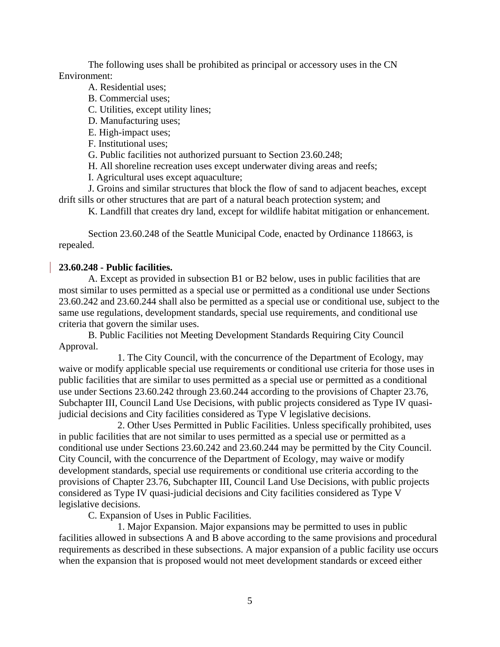The following uses shall be prohibited as principal or accessory uses in the CN Environment:

A. Residential uses;

B. Commercial uses;

C. Utilities, except utility lines;

D. Manufacturing uses;

E. High-impact uses;

F. Institutional uses;

G. Public facilities not authorized pursuant to Section 23.60.248;

H. All shoreline recreation uses except underwater diving areas and reefs;

I. Agricultural uses except aquaculture;

J. Groins and similar structures that block the flow of sand to adjacent beaches, except drift sills or other structures that are part of a natural beach protection system; and

K. Landfill that creates dry land, except for wildlife habitat mitigation or enhancement.

Section 23.60.248 of the Seattle Municipal Code, enacted by Ordinance 118663, is repealed.

## **23.60.248 - Public facilities.**

A. Except as provided in subsection B1 or B2 below, uses in public facilities that are most similar to uses permitted as a special use or permitted as a conditional use under Sections 23.60.242 and 23.60.244 shall also be permitted as a special use or conditional use, subject to the same use regulations, development standards, special use requirements, and conditional use criteria that govern the similar uses.

B. Public Facilities not Meeting Development Standards Requiring City Council Approval.

1. The City Council, with the concurrence of the Department of Ecology, may waive or modify applicable special use requirements or conditional use criteria for those uses in public facilities that are similar to uses permitted as a special use or permitted as a conditional use under Sections 23.60.242 through 23.60.244 according to the provisions of Chapter 23.76, Subchapter III, Council Land Use Decisions, with public projects considered as Type IV quasijudicial decisions and City facilities considered as Type V legislative decisions.

2. Other Uses Permitted in Public Facilities. Unless specifically prohibited, uses in public facilities that are not similar to uses permitted as a special use or permitted as a conditional use under Sections 23.60.242 and 23.60.244 may be permitted by the City Council. City Council, with the concurrence of the Department of Ecology, may waive or modify development standards, special use requirements or conditional use criteria according to the provisions of Chapter 23.76, Subchapter III, Council Land Use Decisions, with public projects considered as Type IV quasi-judicial decisions and City facilities considered as Type V legislative decisions.

C. Expansion of Uses in Public Facilities.

1. Major Expansion. Major expansions may be permitted to uses in public facilities allowed in subsections A and B above according to the same provisions and procedural requirements as described in these subsections. A major expansion of a public facility use occurs when the expansion that is proposed would not meet development standards or exceed either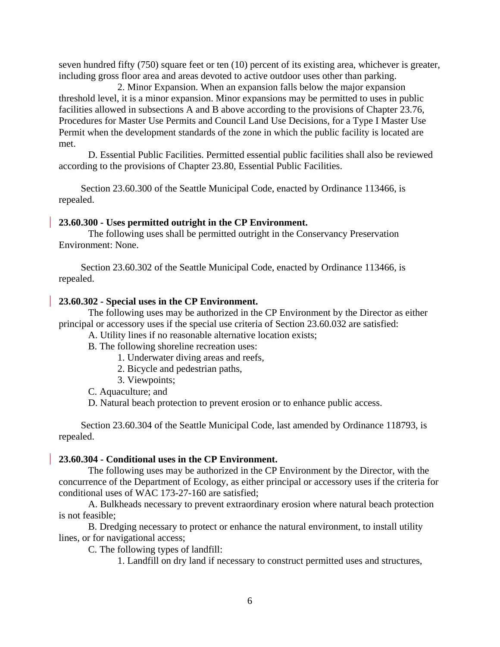seven hundred fifty (750) square feet or ten (10) percent of its existing area, whichever is greater, including gross floor area and areas devoted to active outdoor uses other than parking.

2. Minor Expansion. When an expansion falls below the major expansion threshold level, it is a minor expansion. Minor expansions may be permitted to uses in public facilities allowed in subsections A and B above according to the provisions of Chapter 23.76, Procedures for Master Use Permits and Council Land Use Decisions, for a Type I Master Use Permit when the development standards of the zone in which the public facility is located are met.

D. Essential Public Facilities. Permitted essential public facilities shall also be reviewed according to the provisions of Chapter 23.80, Essential Public Facilities.

Section 23.60.300 of the Seattle Municipal Code, enacted by Ordinance 113466, is repealed.

#### **23.60.300 - Uses permitted outright in the CP Environment.**

The following uses shall be permitted outright in the Conservancy Preservation Environment: None.

Section 23.60.302 of the Seattle Municipal Code, enacted by Ordinance 113466, is repealed.

#### **23.60.302 - Special uses in the CP Environment.**

The following uses may be authorized in the CP Environment by the Director as either principal or accessory uses if the special use criteria of Section 23.60.032 are satisfied:

A. Utility lines if no reasonable alternative location exists;

B. The following shoreline recreation uses:

1. Underwater diving areas and reefs,

- 2. Bicycle and pedestrian paths,
- 3. Viewpoints;

C. Aquaculture; and

D. Natural beach protection to prevent erosion or to enhance public access.

Section 23.60.304 of the Seattle Municipal Code, last amended by Ordinance 118793, is repealed.

#### **23.60.304 - Conditional uses in the CP Environment.**

The following uses may be authorized in the CP Environment by the Director, with the concurrence of the Department of Ecology, as either principal or accessory uses if the criteria for conditional uses of WAC 173-27-160 are satisfied;

A. Bulkheads necessary to prevent extraordinary erosion where natural beach protection is not feasible;

B. Dredging necessary to protect or enhance the natural environment, to install utility lines, or for navigational access;

C. The following types of landfill:

1. Landfill on dry land if necessary to construct permitted uses and structures,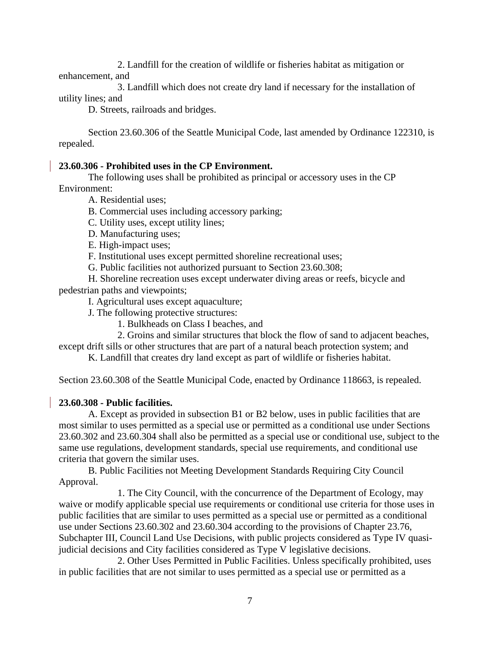2. Landfill for the creation of wildlife or fisheries habitat as mitigation or enhancement, and

3. Landfill which does not create dry land if necessary for the installation of utility lines; and

D. Streets, railroads and bridges.

Section 23.60.306 of the Seattle Municipal Code, last amended by Ordinance 122310, is repealed.

## **23.60.306 - Prohibited uses in the CP Environment.**

The following uses shall be prohibited as principal or accessory uses in the CP Environment:

A. Residential uses;

B. Commercial uses including accessory parking;

C. Utility uses, except utility lines;

D. Manufacturing uses;

E. High-impact uses;

F. Institutional uses except permitted shoreline recreational uses;

G. Public facilities not authorized pursuant to Section 23.60.308;

H. Shoreline recreation uses except underwater diving areas or reefs, bicycle and pedestrian paths and viewpoints;

I. Agricultural uses except aquaculture;

J. The following protective structures:

1. Bulkheads on Class I beaches, and

2. Groins and similar structures that block the flow of sand to adjacent beaches,

except drift sills or other structures that are part of a natural beach protection system; and

K. Landfill that creates dry land except as part of wildlife or fisheries habitat.

Section 23.60.308 of the Seattle Municipal Code, enacted by Ordinance 118663, is repealed.

## **23.60.308 - Public facilities.**

A. Except as provided in subsection B1 or B2 below, uses in public facilities that are most similar to uses permitted as a special use or permitted as a conditional use under Sections 23.60.302 and 23.60.304 shall also be permitted as a special use or conditional use, subject to the same use regulations, development standards, special use requirements, and conditional use criteria that govern the similar uses.

B. Public Facilities not Meeting Development Standards Requiring City Council Approval.

1. The City Council, with the concurrence of the Department of Ecology, may waive or modify applicable special use requirements or conditional use criteria for those uses in public facilities that are similar to uses permitted as a special use or permitted as a conditional use under Sections 23.60.302 and 23.60.304 according to the provisions of Chapter 23.76, Subchapter III, Council Land Use Decisions, with public projects considered as Type IV quasijudicial decisions and City facilities considered as Type V legislative decisions.

2. Other Uses Permitted in Public Facilities. Unless specifically prohibited, uses in public facilities that are not similar to uses permitted as a special use or permitted as a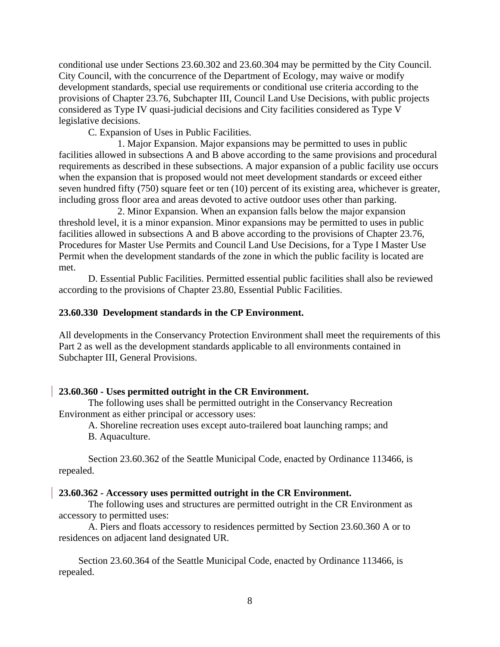conditional use under Sections 23.60.302 and 23.60.304 may be permitted by the City Council. City Council, with the concurrence of the Department of Ecology, may waive or modify development standards, special use requirements or conditional use criteria according to the provisions of Chapter 23.76, Subchapter III, Council Land Use Decisions, with public projects considered as Type IV quasi-judicial decisions and City facilities considered as Type V legislative decisions.

C. Expansion of Uses in Public Facilities.

1. Major Expansion. Major expansions may be permitted to uses in public facilities allowed in subsections A and B above according to the same provisions and procedural requirements as described in these subsections. A major expansion of a public facility use occurs when the expansion that is proposed would not meet development standards or exceed either seven hundred fifty (750) square feet or ten (10) percent of its existing area, whichever is greater, including gross floor area and areas devoted to active outdoor uses other than parking.

2. Minor Expansion. When an expansion falls below the major expansion threshold level, it is a minor expansion. Minor expansions may be permitted to uses in public facilities allowed in subsections A and B above according to the provisions of Chapter 23.76, Procedures for Master Use Permits and Council Land Use Decisions, for a Type I Master Use Permit when the development standards of the zone in which the public facility is located are met.

D. Essential Public Facilities. Permitted essential public facilities shall also be reviewed according to the provisions of Chapter 23.80, Essential Public Facilities.

#### **23.60.330 Development standards in the CP Environment.**

All developments in the Conservancy Protection Environment shall meet the requirements of this Part 2 as well as the development standards applicable to all environments contained in Subchapter III, General Provisions.

#### **23.60.360 - Uses permitted outright in the CR Environment.**

The following uses shall be permitted outright in the Conservancy Recreation Environment as either principal or accessory uses:

A. Shoreline recreation uses except auto-trailered boat launching ramps; and B. Aquaculture.

Section 23.60.362 of the Seattle Municipal Code, enacted by Ordinance 113466, is repealed.

#### **23.60.362 - Accessory uses permitted outright in the CR Environment.**

The following uses and structures are permitted outright in the CR Environment as accessory to permitted uses:

A. Piers and floats accessory to residences permitted by Section 23.60.360 A or to residences on adjacent land designated UR.

Section 23.60.364 of the Seattle Municipal Code, enacted by Ordinance 113466, is repealed.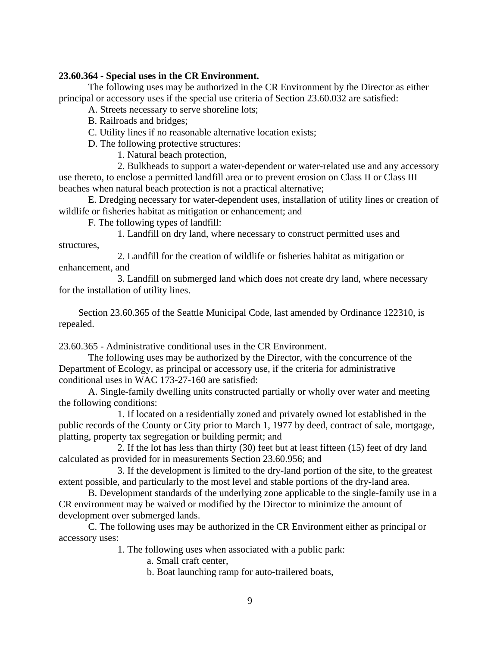## **23.60.364 - Special uses in the CR Environment.**

The following uses may be authorized in the CR Environment by the Director as either principal or accessory uses if the special use criteria of Section 23.60.032 are satisfied:

A. Streets necessary to serve shoreline lots;

B. Railroads and bridges;

C. Utility lines if no reasonable alternative location exists;

D. The following protective structures:

1. Natural beach protection,

2. Bulkheads to support a water-dependent or water-related use and any accessory use thereto, to enclose a permitted landfill area or to prevent erosion on Class II or Class III beaches when natural beach protection is not a practical alternative;

E. Dredging necessary for water-dependent uses, installation of utility lines or creation of wildlife or fisheries habitat as mitigation or enhancement; and

F. The following types of landfill:

1. Landfill on dry land, where necessary to construct permitted uses and structures,

2. Landfill for the creation of wildlife or fisheries habitat as mitigation or enhancement, and

3. Landfill on submerged land which does not create dry land, where necessary for the installation of utility lines.

Section 23.60.365 of the Seattle Municipal Code, last amended by Ordinance 122310, is repealed.

23.60.365 - Administrative conditional uses in the CR Environment.

The following uses may be authorized by the Director, with the concurrence of the Department of Ecology, as principal or accessory use, if the criteria for administrative conditional uses in WAC 173-27-160 are satisfied:

A. Single-family dwelling units constructed partially or wholly over water and meeting the following conditions:

1. If located on a residentially zoned and privately owned lot established in the public records of the County or City prior to March 1, 1977 by deed, contract of sale, mortgage, platting, property tax segregation or building permit; and

2. If the lot has less than thirty (30) feet but at least fifteen (15) feet of dry land calculated as provided for in measurements Section 23.60.956; and

3. If the development is limited to the dry-land portion of the site, to the greatest extent possible, and particularly to the most level and stable portions of the dry-land area.

B. Development standards of the underlying zone applicable to the single-family use in a CR environment may be waived or modified by the Director to minimize the amount of development over submerged lands.

C. The following uses may be authorized in the CR Environment either as principal or accessory uses:

1. The following uses when associated with a public park:

a. Small craft center,

b. Boat launching ramp for auto-trailered boats,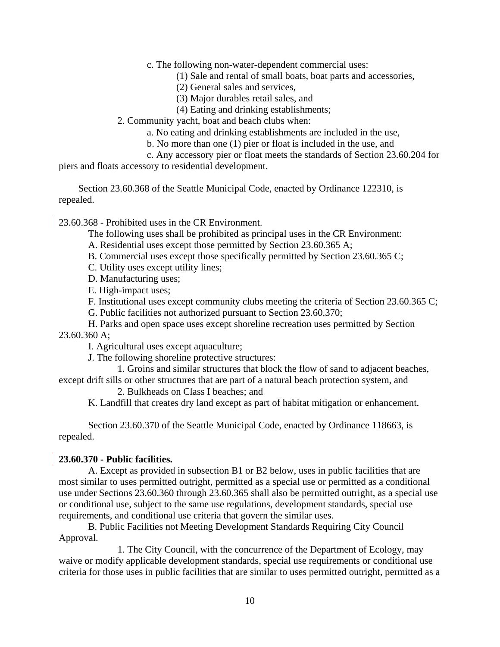c. The following non-water-dependent commercial uses:

(1) Sale and rental of small boats, boat parts and accessories,

(2) General sales and services,

(3) Major durables retail sales, and

(4) Eating and drinking establishments;

2. Community yacht, boat and beach clubs when:

a. No eating and drinking establishments are included in the use,

b. No more than one (1) pier or float is included in the use, and

c. Any accessory pier or float meets the standards of Section 23.60.204 for

piers and floats accessory to residential development.

Section 23.60.368 of the Seattle Municipal Code, enacted by Ordinance 122310, is repealed.

23.60.368 - Prohibited uses in the CR Environment.

The following uses shall be prohibited as principal uses in the CR Environment:

A. Residential uses except those permitted by Section 23.60.365 A;

B. Commercial uses except those specifically permitted by Section 23.60.365 C;

C. Utility uses except utility lines;

D. Manufacturing uses;

E. High-impact uses;

F. Institutional uses except community clubs meeting the criteria of Section 23.60.365 C;

G. Public facilities not authorized pursuant to Section 23.60.370;

H. Parks and open space uses except shoreline recreation uses permitted by Section 23.60.360 A;

I. Agricultural uses except aquaculture;

J. The following shoreline protective structures:

1. Groins and similar structures that block the flow of sand to adjacent beaches, except drift sills or other structures that are part of a natural beach protection system, and

2. Bulkheads on Class I beaches; and

K. Landfill that creates dry land except as part of habitat mitigation or enhancement.

Section 23.60.370 of the Seattle Municipal Code, enacted by Ordinance 118663, is repealed.

## **23.60.370 - Public facilities.**

A. Except as provided in subsection B1 or B2 below, uses in public facilities that are most similar to uses permitted outright, permitted as a special use or permitted as a conditional use under Sections 23.60.360 through 23.60.365 shall also be permitted outright, as a special use or conditional use, subject to the same use regulations, development standards, special use requirements, and conditional use criteria that govern the similar uses.

B. Public Facilities not Meeting Development Standards Requiring City Council Approval.

1. The City Council, with the concurrence of the Department of Ecology, may waive or modify applicable development standards, special use requirements or conditional use criteria for those uses in public facilities that are similar to uses permitted outright, permitted as a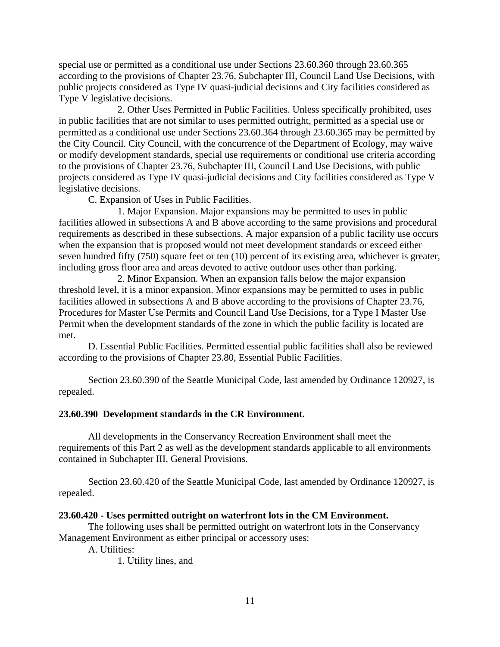special use or permitted as a conditional use under Sections 23.60.360 through 23.60.365 according to the provisions of Chapter 23.76, Subchapter III, Council Land Use Decisions, with public projects considered as Type IV quasi-judicial decisions and City facilities considered as Type V legislative decisions.

2. Other Uses Permitted in Public Facilities. Unless specifically prohibited, uses in public facilities that are not similar to uses permitted outright, permitted as a special use or permitted as a conditional use under Sections 23.60.364 through 23.60.365 may be permitted by the City Council. City Council, with the concurrence of the Department of Ecology, may waive or modify development standards, special use requirements or conditional use criteria according to the provisions of Chapter 23.76, Subchapter III, Council Land Use Decisions, with public projects considered as Type IV quasi-judicial decisions and City facilities considered as Type V legislative decisions.

C. Expansion of Uses in Public Facilities.

1. Major Expansion. Major expansions may be permitted to uses in public facilities allowed in subsections A and B above according to the same provisions and procedural requirements as described in these subsections. A major expansion of a public facility use occurs when the expansion that is proposed would not meet development standards or exceed either seven hundred fifty (750) square feet or ten (10) percent of its existing area, whichever is greater, including gross floor area and areas devoted to active outdoor uses other than parking.

2. Minor Expansion. When an expansion falls below the major expansion threshold level, it is a minor expansion. Minor expansions may be permitted to uses in public facilities allowed in subsections A and B above according to the provisions of Chapter 23.76, Procedures for Master Use Permits and Council Land Use Decisions, for a Type I Master Use Permit when the development standards of the zone in which the public facility is located are met.

D. Essential Public Facilities. Permitted essential public facilities shall also be reviewed according to the provisions of Chapter 23.80, Essential Public Facilities.

Section 23.60.390 of the Seattle Municipal Code, last amended by Ordinance 120927, is repealed.

## **23.60.390 Development standards in the CR Environment.**

All developments in the Conservancy Recreation Environment shall meet the requirements of this Part 2 as well as the development standards applicable to all environments contained in Subchapter III, General Provisions.

Section 23.60.420 of the Seattle Municipal Code, last amended by Ordinance 120927, is repealed.

#### **23.60.420 - Uses permitted outright on waterfront lots in the CM Environment.**

The following uses shall be permitted outright on waterfront lots in the Conservancy Management Environment as either principal or accessory uses:

A. Utilities:

1. Utility lines, and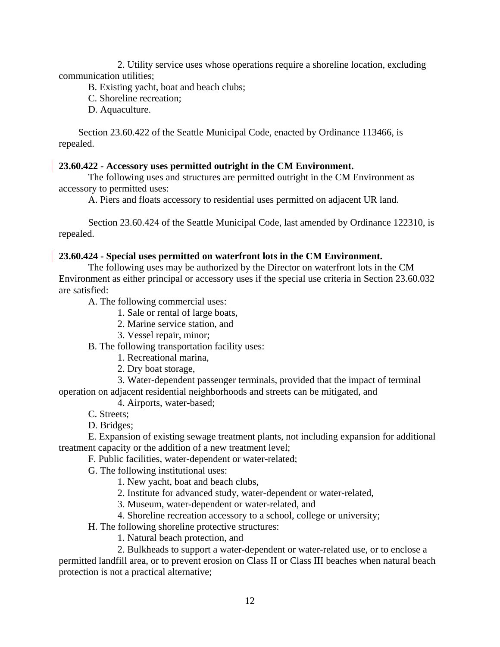2. Utility service uses whose operations require a shoreline location, excluding communication utilities;

B. Existing yacht, boat and beach clubs;

C. Shoreline recreation;

D. Aquaculture.

Section 23.60.422 of the Seattle Municipal Code, enacted by Ordinance 113466, is repealed.

## **23.60.422 - Accessory uses permitted outright in the CM Environment.**

The following uses and structures are permitted outright in the CM Environment as accessory to permitted uses:

A. Piers and floats accessory to residential uses permitted on adjacent UR land.

Section 23.60.424 of the Seattle Municipal Code, last amended by Ordinance 122310, is repealed.

#### **23.60.424 - Special uses permitted on waterfront lots in the CM Environment.**

The following uses may be authorized by the Director on waterfront lots in the CM Environment as either principal or accessory uses if the special use criteria in Section 23.60.032 are satisfied:

A. The following commercial uses:

- 1. Sale or rental of large boats,
- 2. Marine service station, and
- 3. Vessel repair, minor;

B. The following transportation facility uses:

- 1. Recreational marina,
- 2. Dry boat storage,

3. Water-dependent passenger terminals, provided that the impact of terminal operation on adjacent residential neighborhoods and streets can be mitigated, and

4. Airports, water-based;

- C. Streets;
- D. Bridges;

E. Expansion of existing sewage treatment plants, not including expansion for additional treatment capacity or the addition of a new treatment level;

F. Public facilities, water-dependent or water-related;

G. The following institutional uses:

- 1. New yacht, boat and beach clubs,
- 2. Institute for advanced study, water-dependent or water-related,
- 3. Museum, water-dependent or water-related, and
- 4. Shoreline recreation accessory to a school, college or university;

H. The following shoreline protective structures:

1. Natural beach protection, and

2. Bulkheads to support a water-dependent or water-related use, or to enclose a

permitted landfill area, or to prevent erosion on Class II or Class III beaches when natural beach protection is not a practical alternative;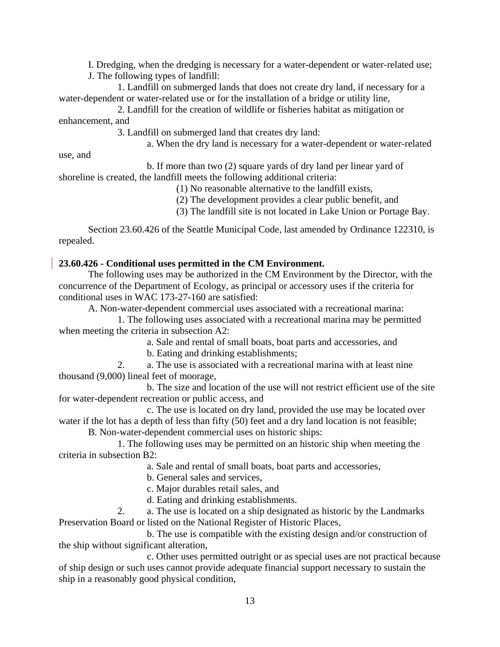I. Dredging, when the dredging is necessary for a water-dependent or water-related use;

J. The following types of landfill:

1. Landfill on submerged lands that does not create dry land, if necessary for a water-dependent or water-related use or for the installation of a bridge or utility line,

2. Landfill for the creation of wildlife or fisheries habitat as mitigation or enhancement, and

3. Landfill on submerged land that creates dry land:

a. When the dry land is necessary for a water-dependent or water-related

use, and

b. If more than two (2) square yards of dry land per linear yard of shoreline is created, the landfill meets the following additional criteria:

(1) No reasonable alternative to the landfill exists,

(2) The development provides a clear public benefit, and

(3) The landfill site is not located in Lake Union or Portage Bay.

Section 23.60.426 of the Seattle Municipal Code, last amended by Ordinance 122310, is repealed.

# **23.60.426 - Conditional uses permitted in the CM Environment.**

The following uses may be authorized in the CM Environment by the Director, with the concurrence of the Department of Ecology, as principal or accessory uses if the criteria for conditional uses in WAC 173-27-160 are satisfied:

A. Non-water-dependent commercial uses associated with a recreational marina:

1. The following uses associated with a recreational marina may be permitted when meeting the criteria in subsection A2:

a. Sale and rental of small boats, boat parts and accessories, and

b. Eating and drinking establishments;

2. a. The use is associated with a recreational marina with at least nine thousand (9,000) lineal feet of moorage,

b. The size and location of the use will not restrict efficient use of the site for water-dependent recreation or public access, and

c. The use is located on dry land, provided the use may be located over water if the lot has a depth of less than fifty (50) feet and a dry land location is not feasible;

B. Non-water-dependent commercial uses on historic ships:

1. The following uses may be permitted on an historic ship when meeting the criteria in subsection B2:

a. Sale and rental of small boats, boat parts and accessories,

b. General sales and services,

c. Major durables retail sales, and

d. Eating and drinking establishments.

2. a. The use is located on a ship designated as historic by the Landmarks Preservation Board or listed on the National Register of Historic Places,

b. The use is compatible with the existing design and/or construction of the ship without significant alteration,

c. Other uses permitted outright or as special uses are not practical because of ship design or such uses cannot provide adequate financial support necessary to sustain the ship in a reasonably good physical condition,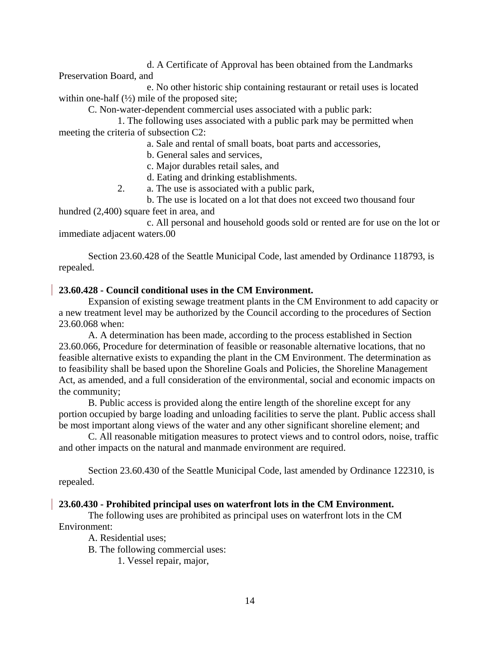d. A Certificate of Approval has been obtained from the Landmarks Preservation Board, and

e. No other historic ship containing restaurant or retail uses is located within one-half  $(\frac{1}{2})$  mile of the proposed site;

C. Non-water-dependent commercial uses associated with a public park:

1. The following uses associated with a public park may be permitted when meeting the criteria of subsection C2:

a. Sale and rental of small boats, boat parts and accessories,

b. General sales and services,

c. Major durables retail sales, and

d. Eating and drinking establishments.

2. a. The use is associated with a public park,

b. The use is located on a lot that does not exceed two thousand four hundred (2,400) square feet in area, and

c. All personal and household goods sold or rented are for use on the lot or immediate adjacent waters.00

Section 23.60.428 of the Seattle Municipal Code, last amended by Ordinance 118793, is repealed.

#### **23.60.428 - Council conditional uses in the CM Environment.**

Expansion of existing sewage treatment plants in the CM Environment to add capacity or a new treatment level may be authorized by the Council according to the procedures of Section 23.60.068 when:

A. A determination has been made, according to the process established in Section 23.60.066, Procedure for determination of feasible or reasonable alternative locations, that no feasible alternative exists to expanding the plant in the CM Environment. The determination as to feasibility shall be based upon the Shoreline Goals and Policies, the Shoreline Management Act, as amended, and a full consideration of the environmental, social and economic impacts on the community;

B. Public access is provided along the entire length of the shoreline except for any portion occupied by barge loading and unloading facilities to serve the plant. Public access shall be most important along views of the water and any other significant shoreline element; and

C. All reasonable mitigation measures to protect views and to control odors, noise, traffic and other impacts on the natural and manmade environment are required.

Section 23.60.430 of the Seattle Municipal Code, last amended by Ordinance 122310, is repealed.

#### **23.60.430 - Prohibited principal uses on waterfront lots in the CM Environment.**

The following uses are prohibited as principal uses on waterfront lots in the CM Environment:

A. Residential uses;

B. The following commercial uses:

1. Vessel repair, major,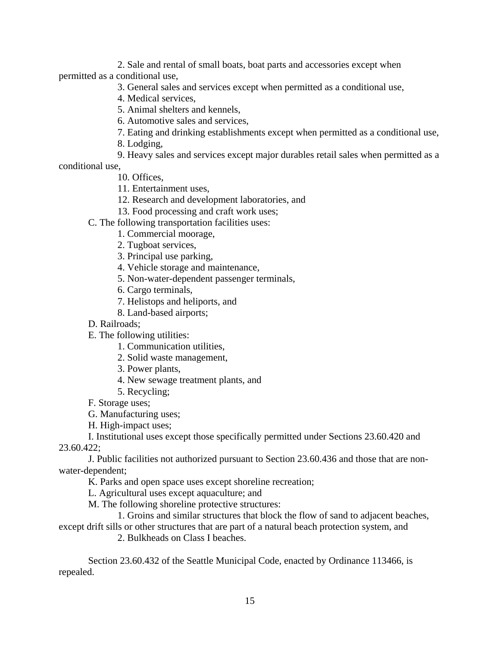2. Sale and rental of small boats, boat parts and accessories except when permitted as a conditional use,

3. General sales and services except when permitted as a conditional use,

4. Medical services,

5. Animal shelters and kennels,

6. Automotive sales and services,

7. Eating and drinking establishments except when permitted as a conditional use,

8. Lodging,

9. Heavy sales and services except major durables retail sales when permitted as a

conditional use,

10. Offices,

11. Entertainment uses,

12. Research and development laboratories, and

13. Food processing and craft work uses;

C. The following transportation facilities uses:

1. Commercial moorage,

2. Tugboat services,

3. Principal use parking,

4. Vehicle storage and maintenance,

5. Non-water-dependent passenger terminals,

6. Cargo terminals,

7. Helistops and heliports, and

8. Land-based airports;

D. Railroads;

E. The following utilities:

1. Communication utilities,

2. Solid waste management,

3. Power plants,

4. New sewage treatment plants, and

5. Recycling;

F. Storage uses;

G. Manufacturing uses;

H. High-impact uses;

I. Institutional uses except those specifically permitted under Sections 23.60.420 and 23.60.422;

J. Public facilities not authorized pursuant to Section 23.60.436 and those that are nonwater-dependent;

K. Parks and open space uses except shoreline recreation;

L. Agricultural uses except aquaculture; and

M. The following shoreline protective structures:

1. Groins and similar structures that block the flow of sand to adjacent beaches, except drift sills or other structures that are part of a natural beach protection system, and

2. Bulkheads on Class I beaches.

Section 23.60.432 of the Seattle Municipal Code, enacted by Ordinance 113466, is repealed.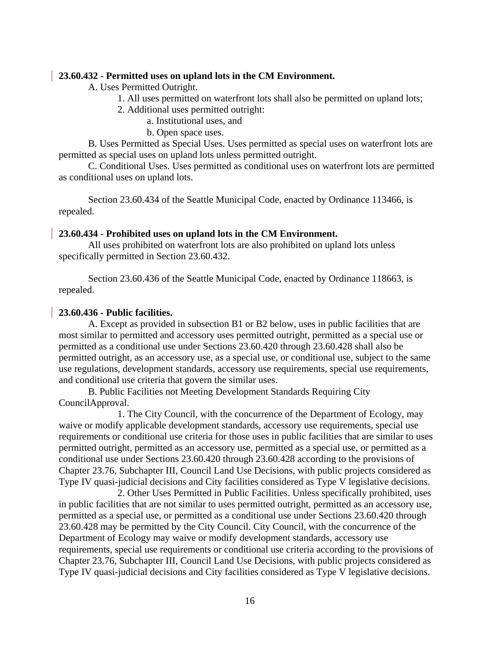#### **23.60.432 - Permitted uses on upland lots in the CM Environment.**

A. Uses Permitted Outright.

- 1. All uses permitted on waterfront lots shall also be permitted on upland lots;
- 2. Additional uses permitted outright:
	- a. Institutional uses, and
	- b. Open space uses.

B. Uses Permitted as Special Uses. Uses permitted as special uses on waterfront lots are permitted as special uses on upland lots unless permitted outright.

C. Conditional Uses. Uses permitted as conditional uses on waterfront lots are permitted as conditional uses on upland lots.

Section 23.60.434 of the Seattle Municipal Code, enacted by Ordinance 113466, is repealed.

## **23.60.434 - Prohibited uses on upland lots in the CM Environment.**

All uses prohibited on waterfront lots are also prohibited on upland lots unless specifically permitted in Section 23.60.432.

Section 23.60.436 of the Seattle Municipal Code, enacted by Ordinance 118663, is repealed.

## **23.60.436 - Public facilities.**

A. Except as provided in subsection B1 or B2 below, uses in public facilities that are most similar to permitted and accessory uses permitted outright, permitted as a special use or permitted as a conditional use under Sections 23.60.420 through 23.60.428 shall also be permitted outright, as an accessory use, as a special use, or conditional use, subject to the same use regulations, development standards, accessory use requirements, special use requirements, and conditional use criteria that govern the similar uses.

B. Public Facilities not Meeting Development Standards Requiring City CouncilApproval.

1. The City Council, with the concurrence of the Department of Ecology, may waive or modify applicable development standards, accessory use requirements, special use requirements or conditional use criteria for those uses in public facilities that are similar to uses permitted outright, permitted as an accessory use, permitted as a special use, or permitted as a conditional use under Sections 23.60.420 through 23.60.428 according to the provisions of Chapter 23.76, Subchapter III, Council Land Use Decisions, with public projects considered as Type IV quasi-judicial decisions and City facilities considered as Type V legislative decisions.

2. Other Uses Permitted in Public Facilities. Unless specifically prohibited, uses in public facilities that are not similar to uses permitted outright, permitted as an accessory use, permitted as a special use, or permitted as a conditional use under Sections 23.60.420 through 23.60.428 may be permitted by the City Council. City Council, with the concurrence of the Department of Ecology may waive or modify development standards, accessory use requirements, special use requirements or conditional use criteria according to the provisions of Chapter 23.76, Subchapter III, Council Land Use Decisions, with public projects considered as Type IV quasi-judicial decisions and City facilities considered as Type V legislative decisions.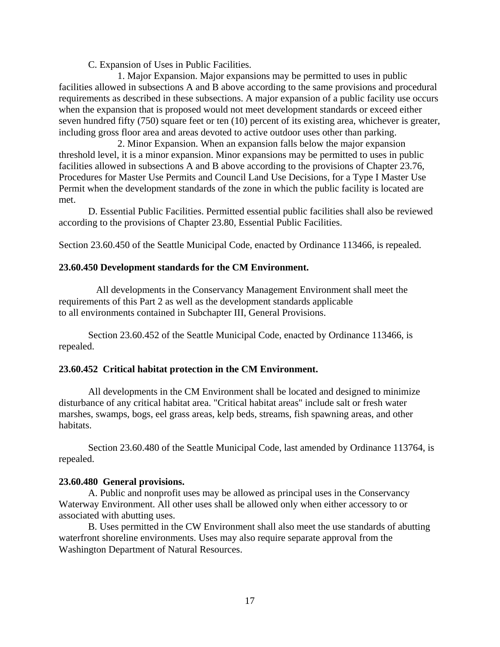C. Expansion of Uses in Public Facilities.

1. Major Expansion. Major expansions may be permitted to uses in public facilities allowed in subsections A and B above according to the same provisions and procedural requirements as described in these subsections. A major expansion of a public facility use occurs when the expansion that is proposed would not meet development standards or exceed either seven hundred fifty (750) square feet or ten (10) percent of its existing area, whichever is greater, including gross floor area and areas devoted to active outdoor uses other than parking.

2. Minor Expansion. When an expansion falls below the major expansion threshold level, it is a minor expansion. Minor expansions may be permitted to uses in public facilities allowed in subsections A and B above according to the provisions of Chapter 23.76, Procedures for Master Use Permits and Council Land Use Decisions, for a Type I Master Use Permit when the development standards of the zone in which the public facility is located are met.

D. Essential Public Facilities. Permitted essential public facilities shall also be reviewed according to the provisions of Chapter 23.80, Essential Public Facilities.

Section 23.60.450 of the Seattle Municipal Code, enacted by Ordinance 113466, is repealed.

## **23.60.450 Development standards for the CM Environment.**

 All developments in the Conservancy Management Environment shall meet the requirements of this Part 2 as well as the development standards applicable to all environments contained in Subchapter III, General Provisions.

Section 23.60.452 of the Seattle Municipal Code, enacted by Ordinance 113466, is repealed.

## **23.60.452 Critical habitat protection in the CM Environment.**

All developments in the CM Environment shall be located and designed to minimize disturbance of any critical habitat area. "Critical habitat areas" include salt or fresh water marshes, swamps, bogs, eel grass areas, kelp beds, streams, fish spawning areas, and other habitats.

Section 23.60.480 of the Seattle Municipal Code, last amended by Ordinance 113764, is repealed.

#### **23.60.480 General provisions.**

A. Public and nonprofit uses may be allowed as principal uses in the Conservancy Waterway Environment. All other uses shall be allowed only when either accessory to or associated with abutting uses.

B. Uses permitted in the CW Environment shall also meet the use standards of abutting waterfront shoreline environments. Uses may also require separate approval from the Washington Department of Natural Resources.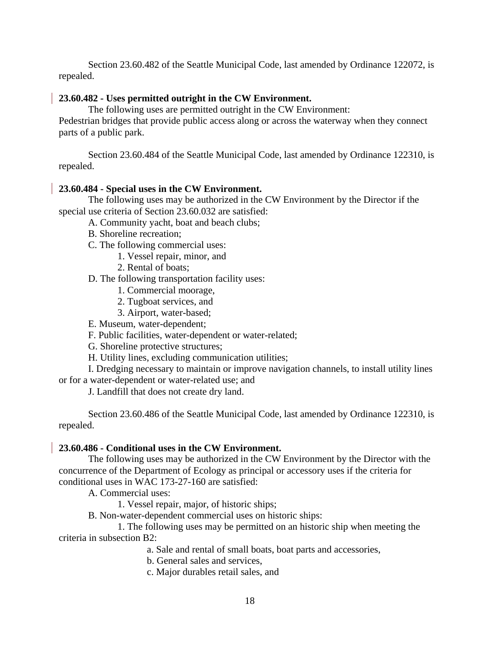Section 23.60.482 of the Seattle Municipal Code, last amended by Ordinance 122072, is repealed.

# **23.60.482 - Uses permitted outright in the CW Environment.**

The following uses are permitted outright in the CW Environment:

Pedestrian bridges that provide public access along or across the waterway when they connect parts of a public park.

Section 23.60.484 of the Seattle Municipal Code, last amended by Ordinance 122310, is repealed.

## **23.60.484 - Special uses in the CW Environment.**

The following uses may be authorized in the CW Environment by the Director if the special use criteria of Section 23.60.032 are satisfied:

A. Community yacht, boat and beach clubs;

- B. Shoreline recreation;
- C. The following commercial uses:
	- 1. Vessel repair, minor, and
	- 2. Rental of boats;

D. The following transportation facility uses:

- 1. Commercial moorage,
- 2. Tugboat services, and
- 3. Airport, water-based;
- E. Museum, water-dependent;

F. Public facilities, water-dependent or water-related;

G. Shoreline protective structures;

H. Utility lines, excluding communication utilities;

I. Dredging necessary to maintain or improve navigation channels, to install utility lines or for a water-dependent or water-related use; and

J. Landfill that does not create dry land.

Section 23.60.486 of the Seattle Municipal Code, last amended by Ordinance 122310, is repealed.

#### **23.60.486 - Conditional uses in the CW Environment.**

The following uses may be authorized in the CW Environment by the Director with the concurrence of the Department of Ecology as principal or accessory uses if the criteria for conditional uses in WAC 173-27-160 are satisfied:

A. Commercial uses:

1. Vessel repair, major, of historic ships;

B. Non-water-dependent commercial uses on historic ships:

1. The following uses may be permitted on an historic ship when meeting the criteria in subsection B2:

a. Sale and rental of small boats, boat parts and accessories,

b. General sales and services,

c. Major durables retail sales, and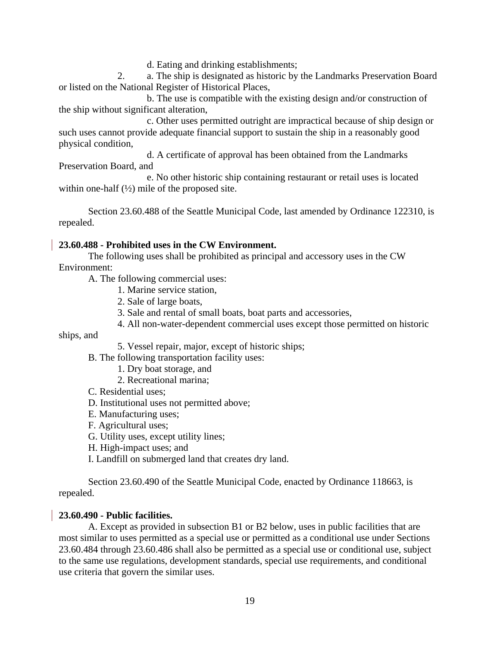d. Eating and drinking establishments;

2. a. The ship is designated as historic by the Landmarks Preservation Board or listed on the National Register of Historical Places,

b. The use is compatible with the existing design and/or construction of the ship without significant alteration,

c. Other uses permitted outright are impractical because of ship design or such uses cannot provide adequate financial support to sustain the ship in a reasonably good physical condition,

d. A certificate of approval has been obtained from the Landmarks Preservation Board, and

e. No other historic ship containing restaurant or retail uses is located within one-half  $(\frac{1}{2})$  mile of the proposed site.

Section 23.60.488 of the Seattle Municipal Code, last amended by Ordinance 122310, is repealed.

# **23.60.488 - Prohibited uses in the CW Environment.**

The following uses shall be prohibited as principal and accessory uses in the CW Environment:

A. The following commercial uses:

- 1. Marine service station,
- 2. Sale of large boats,
- 3. Sale and rental of small boats, boat parts and accessories,
- 4. All non-water-dependent commercial uses except those permitted on historic

ships, and

5. Vessel repair, major, except of historic ships;

B. The following transportation facility uses:

- 1. Dry boat storage, and
- 2. Recreational marina;
- C. Residential uses;
- D. Institutional uses not permitted above;
- E. Manufacturing uses;
- F. Agricultural uses;
- G. Utility uses, except utility lines;
- H. High-impact uses; and
- I. Landfill on submerged land that creates dry land.

Section 23.60.490 of the Seattle Municipal Code, enacted by Ordinance 118663, is repealed.

# **23.60.490 - Public facilities.**

A. Except as provided in subsection B1 or B2 below, uses in public facilities that are most similar to uses permitted as a special use or permitted as a conditional use under Sections 23.60.484 through 23.60.486 shall also be permitted as a special use or conditional use, subject to the same use regulations, development standards, special use requirements, and conditional use criteria that govern the similar uses.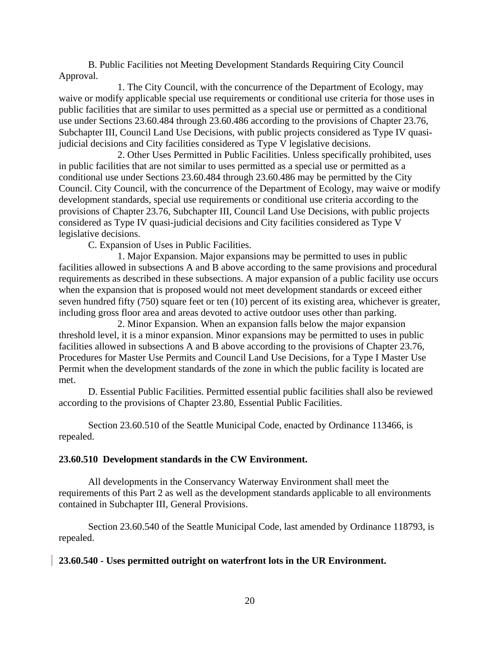B. Public Facilities not Meeting Development Standards Requiring City Council Approval.

1. The City Council, with the concurrence of the Department of Ecology, may waive or modify applicable special use requirements or conditional use criteria for those uses in public facilities that are similar to uses permitted as a special use or permitted as a conditional use under Sections 23.60.484 through 23.60.486 according to the provisions of Chapter 23.76, Subchapter III, Council Land Use Decisions, with public projects considered as Type IV quasijudicial decisions and City facilities considered as Type V legislative decisions.

2. Other Uses Permitted in Public Facilities. Unless specifically prohibited, uses in public facilities that are not similar to uses permitted as a special use or permitted as a conditional use under Sections 23.60.484 through 23.60.486 may be permitted by the City Council. City Council, with the concurrence of the Department of Ecology, may waive or modify development standards, special use requirements or conditional use criteria according to the provisions of Chapter 23.76, Subchapter III, Council Land Use Decisions, with public projects considered as Type IV quasi-judicial decisions and City facilities considered as Type V legislative decisions.

C. Expansion of Uses in Public Facilities.

1. Major Expansion. Major expansions may be permitted to uses in public facilities allowed in subsections A and B above according to the same provisions and procedural requirements as described in these subsections. A major expansion of a public facility use occurs when the expansion that is proposed would not meet development standards or exceed either seven hundred fifty (750) square feet or ten (10) percent of its existing area, whichever is greater, including gross floor area and areas devoted to active outdoor uses other than parking.

2. Minor Expansion. When an expansion falls below the major expansion threshold level, it is a minor expansion. Minor expansions may be permitted to uses in public facilities allowed in subsections A and B above according to the provisions of Chapter 23.76, Procedures for Master Use Permits and Council Land Use Decisions, for a Type I Master Use Permit when the development standards of the zone in which the public facility is located are met.

D. Essential Public Facilities. Permitted essential public facilities shall also be reviewed according to the provisions of Chapter 23.80, Essential Public Facilities.

Section 23.60.510 of the Seattle Municipal Code, enacted by Ordinance 113466, is repealed.

#### **23.60.510 Development standards in the CW Environment.**

All developments in the Conservancy Waterway Environment shall meet the requirements of this Part 2 as well as the development standards applicable to all environments contained in Subchapter III, General Provisions.

Section 23.60.540 of the Seattle Municipal Code, last amended by Ordinance 118793, is repealed.

## **23.60.540 - Uses permitted outright on waterfront lots in the UR Environment.**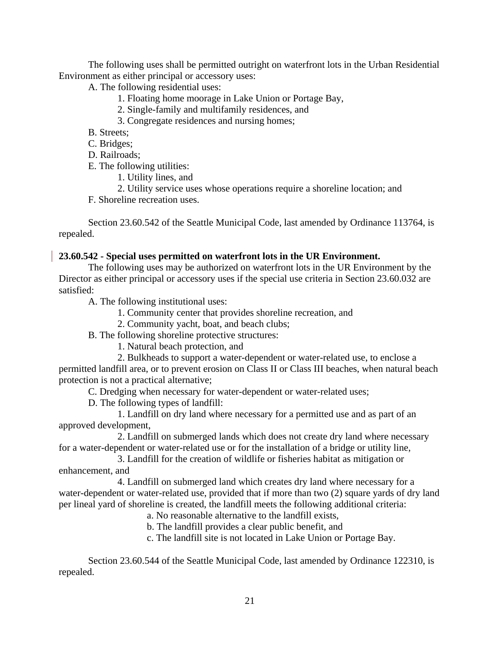The following uses shall be permitted outright on waterfront lots in the Urban Residential Environment as either principal or accessory uses:

A. The following residential uses:

- 1. Floating home moorage in Lake Union or Portage Bay,
- 2. Single-family and multifamily residences, and
- 3. Congregate residences and nursing homes;
- B. Streets;

C. Bridges;

D. Railroads;

E. The following utilities:

1. Utility lines, and

2. Utility service uses whose operations require a shoreline location; and

F. Shoreline recreation uses.

Section 23.60.542 of the Seattle Municipal Code, last amended by Ordinance 113764, is repealed.

# **23.60.542 - Special uses permitted on waterfront lots in the UR Environment.**

The following uses may be authorized on waterfront lots in the UR Environment by the Director as either principal or accessory uses if the special use criteria in Section 23.60.032 are satisfied:

A. The following institutional uses:

1. Community center that provides shoreline recreation, and

2. Community yacht, boat, and beach clubs;

B. The following shoreline protective structures:

1. Natural beach protection, and

2. Bulkheads to support a water-dependent or water-related use, to enclose a permitted landfill area, or to prevent erosion on Class II or Class III beaches, when natural beach protection is not a practical alternative;

C. Dredging when necessary for water-dependent or water-related uses;

D. The following types of landfill:

1. Landfill on dry land where necessary for a permitted use and as part of an approved development,

2. Landfill on submerged lands which does not create dry land where necessary for a water-dependent or water-related use or for the installation of a bridge or utility line,

3. Landfill for the creation of wildlife or fisheries habitat as mitigation or enhancement, and

4. Landfill on submerged land which creates dry land where necessary for a water-dependent or water-related use, provided that if more than two (2) square yards of dry land per lineal yard of shoreline is created, the landfill meets the following additional criteria:

a. No reasonable alternative to the landfill exists,

b. The landfill provides a clear public benefit, and

c. The landfill site is not located in Lake Union or Portage Bay.

Section 23.60.544 of the Seattle Municipal Code, last amended by Ordinance 122310, is repealed.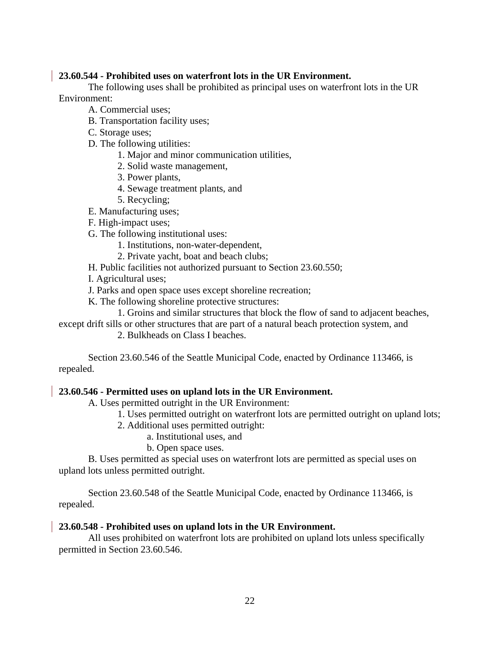## **23.60.544 - Prohibited uses on waterfront lots in the UR Environment.**

The following uses shall be prohibited as principal uses on waterfront lots in the UR Environment:

- A. Commercial uses;
- B. Transportation facility uses;
- C. Storage uses;
- D. The following utilities:
	- 1. Major and minor communication utilities,
	- 2. Solid waste management,
	- 3. Power plants,
	- 4. Sewage treatment plants, and
	- 5. Recycling;
- E. Manufacturing uses;
- F. High-impact uses;
- G. The following institutional uses:
	- 1. Institutions, non-water-dependent,
	- 2. Private yacht, boat and beach clubs;
- H. Public facilities not authorized pursuant to Section 23.60.550;
- I. Agricultural uses;
- J. Parks and open space uses except shoreline recreation;
- K. The following shoreline protective structures:
- 1. Groins and similar structures that block the flow of sand to adjacent beaches,
- except drift sills or other structures that are part of a natural beach protection system, and
	- 2. Bulkheads on Class I beaches.

Section 23.60.546 of the Seattle Municipal Code, enacted by Ordinance 113466, is repealed.

## **23.60.546 - Permitted uses on upland lots in the UR Environment.**

A. Uses permitted outright in the UR Environment:

- 1. Uses permitted outright on waterfront lots are permitted outright on upland lots;
- 2. Additional uses permitted outright:
	- a. Institutional uses, and
	- b. Open space uses.

B. Uses permitted as special uses on waterfront lots are permitted as special uses on upland lots unless permitted outright.

Section 23.60.548 of the Seattle Municipal Code, enacted by Ordinance 113466, is repealed.

## **23.60.548 - Prohibited uses on upland lots in the UR Environment.**

All uses prohibited on waterfront lots are prohibited on upland lots unless specifically permitted in Section 23.60.546.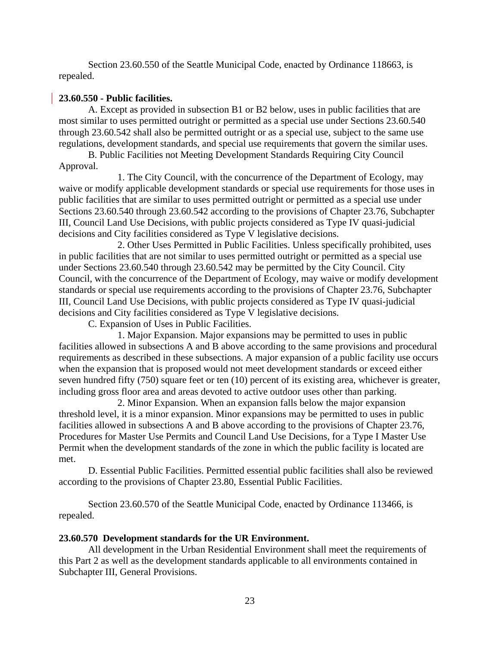Section 23.60.550 of the Seattle Municipal Code, enacted by Ordinance 118663, is repealed.

# **23.60.550 - Public facilities.**

A. Except as provided in subsection B1 or B2 below, uses in public facilities that are most similar to uses permitted outright or permitted as a special use under Sections 23.60.540 through 23.60.542 shall also be permitted outright or as a special use, subject to the same use regulations, development standards, and special use requirements that govern the similar uses.

B. Public Facilities not Meeting Development Standards Requiring City Council Approval.

1. The City Council, with the concurrence of the Department of Ecology, may waive or modify applicable development standards or special use requirements for those uses in public facilities that are similar to uses permitted outright or permitted as a special use under Sections 23.60.540 through 23.60.542 according to the provisions of Chapter 23.76, Subchapter III, Council Land Use Decisions, with public projects considered as Type IV quasi-judicial decisions and City facilities considered as Type V legislative decisions.

2. Other Uses Permitted in Public Facilities. Unless specifically prohibited, uses in public facilities that are not similar to uses permitted outright or permitted as a special use under Sections 23.60.540 through 23.60.542 may be permitted by the City Council. City Council, with the concurrence of the Department of Ecology, may waive or modify development standards or special use requirements according to the provisions of Chapter 23.76, Subchapter III, Council Land Use Decisions, with public projects considered as Type IV quasi-judicial decisions and City facilities considered as Type V legislative decisions.

C. Expansion of Uses in Public Facilities.

1. Major Expansion. Major expansions may be permitted to uses in public facilities allowed in subsections A and B above according to the same provisions and procedural requirements as described in these subsections. A major expansion of a public facility use occurs when the expansion that is proposed would not meet development standards or exceed either seven hundred fifty (750) square feet or ten (10) percent of its existing area, whichever is greater, including gross floor area and areas devoted to active outdoor uses other than parking.

2. Minor Expansion. When an expansion falls below the major expansion threshold level, it is a minor expansion. Minor expansions may be permitted to uses in public facilities allowed in subsections A and B above according to the provisions of Chapter 23.76, Procedures for Master Use Permits and Council Land Use Decisions, for a Type I Master Use Permit when the development standards of the zone in which the public facility is located are met.

D. Essential Public Facilities. Permitted essential public facilities shall also be reviewed according to the provisions of Chapter 23.80, Essential Public Facilities.

Section 23.60.570 of the Seattle Municipal Code, enacted by Ordinance 113466, is repealed.

## **23.60.570 Development standards for the UR Environment.**

All development in the Urban Residential Environment shall meet the requirements of this Part 2 as well as the development standards applicable to all environments contained in Subchapter III, General Provisions.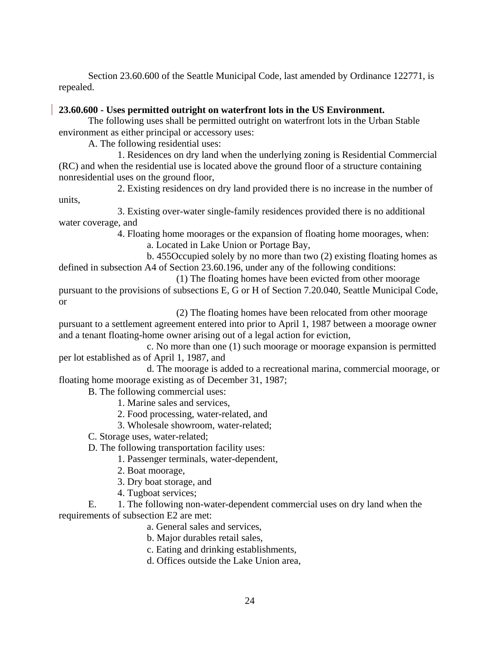Section 23.60.600 of the Seattle Municipal Code, last amended by Ordinance 122771, is repealed.

## **23.60.600 - Uses permitted outright on waterfront lots in the US Environment.**

The following uses shall be permitted outright on waterfront lots in the Urban Stable environment as either principal or accessory uses:

A. The following residential uses:

1. Residences on dry land when the underlying zoning is Residential Commercial (RC) and when the residential use is located above the ground floor of a structure containing nonresidential uses on the ground floor,

2. Existing residences on dry land provided there is no increase in the number of units,

3. Existing over-water single-family residences provided there is no additional water coverage, and

> 4. Floating home moorages or the expansion of floating home moorages, when: a. Located in Lake Union or Portage Bay,

b. 455Occupied solely by no more than two (2) existing floating homes as defined in subsection A4 of Section 23.60.196, under any of the following conditions:

(1) The floating homes have been evicted from other moorage pursuant to the provisions of subsections E, G or H of Section 7.20.040, Seattle Municipal Code, or

(2) The floating homes have been relocated from other moorage pursuant to a settlement agreement entered into prior to April 1, 1987 between a moorage owner and a tenant floating-home owner arising out of a legal action for eviction,

c. No more than one (1) such moorage or moorage expansion is permitted per lot established as of April 1, 1987, and

d. The moorage is added to a recreational marina, commercial moorage, or floating home moorage existing as of December 31, 1987;

B. The following commercial uses:

- 1. Marine sales and services,
- 2. Food processing, water-related, and
- 3. Wholesale showroom, water-related;
- C. Storage uses, water-related;
- D. The following transportation facility uses:
	- 1. Passenger terminals, water-dependent,
	- 2. Boat moorage,
	- 3. Dry boat storage, and
	- 4. Tugboat services;

E. 1. The following non-water-dependent commercial uses on dry land when the requirements of subsection E2 are met:

- a. General sales and services,
- b. Major durables retail sales,
- c. Eating and drinking establishments,
- d. Offices outside the Lake Union area,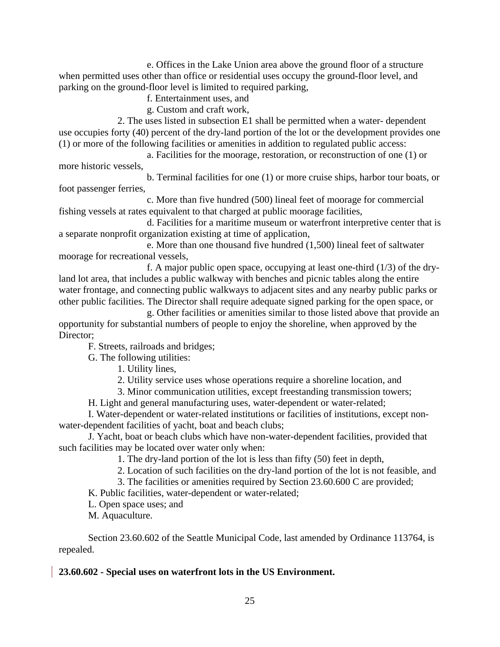e. Offices in the Lake Union area above the ground floor of a structure when permitted uses other than office or residential uses occupy the ground-floor level, and parking on the ground-floor level is limited to required parking,

f. Entertainment uses, and

g. Custom and craft work,

2. The uses listed in subsection E1 shall be permitted when a water- dependent use occupies forty (40) percent of the dry-land portion of the lot or the development provides one (1) or more of the following facilities or amenities in addition to regulated public access:

a. Facilities for the moorage, restoration, or reconstruction of one (1) or more historic vessels,

b. Terminal facilities for one (1) or more cruise ships, harbor tour boats, or foot passenger ferries,

c. More than five hundred (500) lineal feet of moorage for commercial fishing vessels at rates equivalent to that charged at public moorage facilities,

d. Facilities for a maritime museum or waterfront interpretive center that is a separate nonprofit organization existing at time of application,

e. More than one thousand five hundred (1,500) lineal feet of saltwater moorage for recreational vessels,

f. A major public open space, occupying at least one-third (1/3) of the dryland lot area, that includes a public walkway with benches and picnic tables along the entire water frontage, and connecting public walkways to adjacent sites and any nearby public parks or other public facilities. The Director shall require adequate signed parking for the open space, or

g. Other facilities or amenities similar to those listed above that provide an opportunity for substantial numbers of people to enjoy the shoreline, when approved by the Director:

F. Streets, railroads and bridges;

G. The following utilities:

1. Utility lines,

2. Utility service uses whose operations require a shoreline location, and

3. Minor communication utilities, except freestanding transmission towers;

H. Light and general manufacturing uses, water-dependent or water-related;

I. Water-dependent or water-related institutions or facilities of institutions, except nonwater-dependent facilities of yacht, boat and beach clubs;

J. Yacht, boat or beach clubs which have non-water-dependent facilities, provided that such facilities may be located over water only when:

1. The dry-land portion of the lot is less than fifty (50) feet in depth,

2. Location of such facilities on the dry-land portion of the lot is not feasible, and

3. The facilities or amenities required by Section 23.60.600 C are provided;

K. Public facilities, water-dependent or water-related;

L. Open space uses; and

M. Aquaculture.

Section 23.60.602 of the Seattle Municipal Code, last amended by Ordinance 113764, is repealed.

## **23.60.602 - Special uses on waterfront lots in the US Environment.**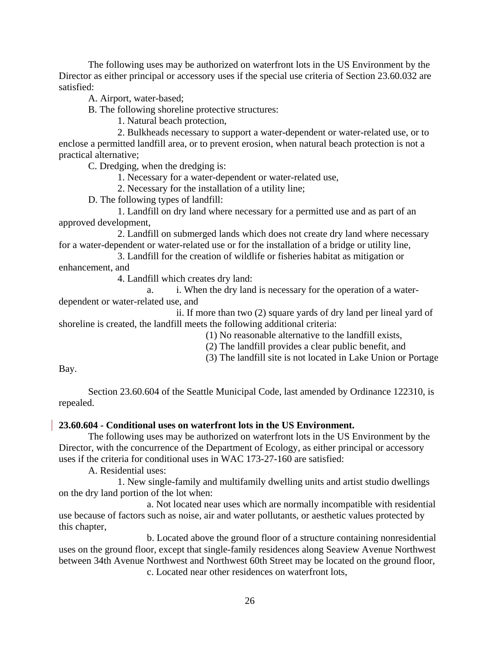The following uses may be authorized on waterfront lots in the US Environment by the Director as either principal or accessory uses if the special use criteria of Section 23.60.032 are satisfied:

A. Airport, water-based;

B. The following shoreline protective structures:

1. Natural beach protection,

2. Bulkheads necessary to support a water-dependent or water-related use, or to enclose a permitted landfill area, or to prevent erosion, when natural beach protection is not a practical alternative;

C. Dredging, when the dredging is:

1. Necessary for a water-dependent or water-related use,

2. Necessary for the installation of a utility line;

D. The following types of landfill:

1. Landfill on dry land where necessary for a permitted use and as part of an approved development,

2. Landfill on submerged lands which does not create dry land where necessary for a water-dependent or water-related use or for the installation of a bridge or utility line,

3. Landfill for the creation of wildlife or fisheries habitat as mitigation or enhancement, and

4. Landfill which creates dry land:

a. i. When the dry land is necessary for the operation of a waterdependent or water-related use, and

ii. If more than two (2) square yards of dry land per lineal yard of shoreline is created, the landfill meets the following additional criteria:

(1) No reasonable alternative to the landfill exists,

(2) The landfill provides a clear public benefit, and

(3) The landfill site is not located in Lake Union or Portage

Bay.

Section 23.60.604 of the Seattle Municipal Code, last amended by Ordinance 122310, is repealed.

# **23.60.604 - Conditional uses on waterfront lots in the US Environment.**

The following uses may be authorized on waterfront lots in the US Environment by the Director, with the concurrence of the Department of Ecology, as either principal or accessory uses if the criteria for conditional uses in WAC 173-27-160 are satisfied:

A. Residential uses:

1. New single-family and multifamily dwelling units and artist studio dwellings on the dry land portion of the lot when:

a. Not located near uses which are normally incompatible with residential use because of factors such as noise, air and water pollutants, or aesthetic values protected by this chapter,

b. Located above the ground floor of a structure containing nonresidential uses on the ground floor, except that single-family residences along Seaview Avenue Northwest between 34th Avenue Northwest and Northwest 60th Street may be located on the ground floor, c. Located near other residences on waterfront lots,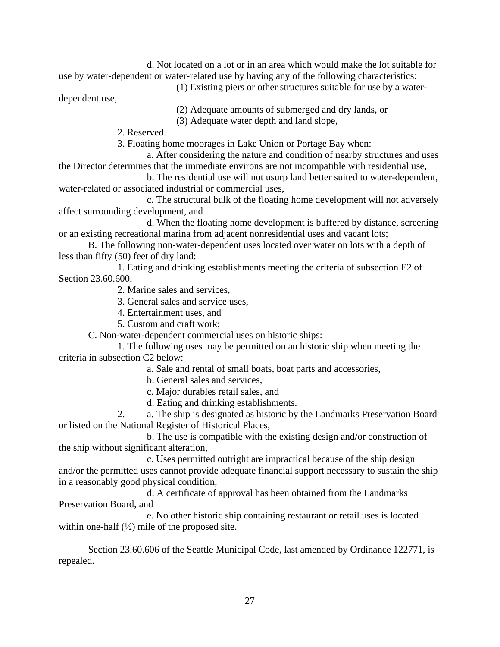d. Not located on a lot or in an area which would make the lot suitable for use by water-dependent or water-related use by having any of the following characteristics:

(1) Existing piers or other structures suitable for use by a water-

dependent use,

(2) Adequate amounts of submerged and dry lands, or

(3) Adequate water depth and land slope,

2. Reserved.

3. Floating home moorages in Lake Union or Portage Bay when:

a. After considering the nature and condition of nearby structures and uses the Director determines that the immediate environs are not incompatible with residential use,

b. The residential use will not usurp land better suited to water-dependent, water-related or associated industrial or commercial uses,

c. The structural bulk of the floating home development will not adversely affect surrounding development, and

d. When the floating home development is buffered by distance, screening or an existing recreational marina from adjacent nonresidential uses and vacant lots;

B. The following non-water-dependent uses located over water on lots with a depth of less than fifty (50) feet of dry land:

1. Eating and drinking establishments meeting the criteria of subsection E2 of Section 23.60.600,

2. Marine sales and services,

3. General sales and service uses,

- 4. Entertainment uses, and
- 5. Custom and craft work;

C. Non-water-dependent commercial uses on historic ships:

1. The following uses may be permitted on an historic ship when meeting the criteria in subsection C2 below:

- a. Sale and rental of small boats, boat parts and accessories,
- b. General sales and services,
- c. Major durables retail sales, and
- d. Eating and drinking establishments.

2. a. The ship is designated as historic by the Landmarks Preservation Board or listed on the National Register of Historical Places,

b. The use is compatible with the existing design and/or construction of the ship without significant alteration,

c. Uses permitted outright are impractical because of the ship design and/or the permitted uses cannot provide adequate financial support necessary to sustain the ship in a reasonably good physical condition,

d. A certificate of approval has been obtained from the Landmarks Preservation Board, and

e. No other historic ship containing restaurant or retail uses is located within one-half  $(\frac{1}{2})$  mile of the proposed site.

Section 23.60.606 of the Seattle Municipal Code, last amended by Ordinance 122771, is repealed.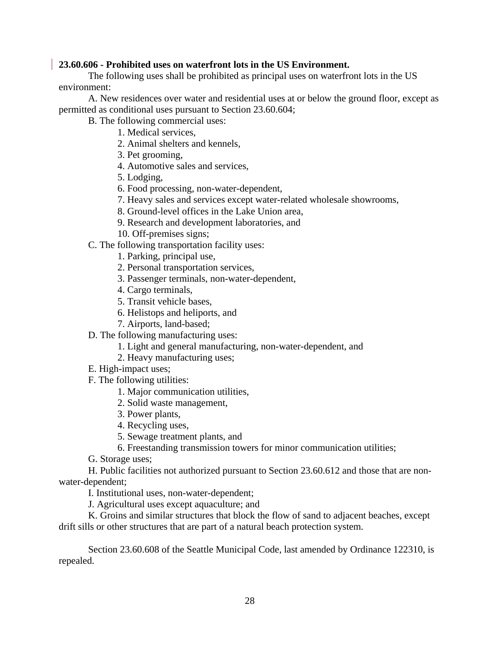## **23.60.606 - Prohibited uses on waterfront lots in the US Environment.**

The following uses shall be prohibited as principal uses on waterfront lots in the US environment:

A. New residences over water and residential uses at or below the ground floor, except as permitted as conditional uses pursuant to Section 23.60.604;

B. The following commercial uses:

1. Medical services,

- 2. Animal shelters and kennels,
- 3. Pet grooming,
- 4. Automotive sales and services,
- 5. Lodging,
- 6. Food processing, non-water-dependent,
- 7. Heavy sales and services except water-related wholesale showrooms,
- 8. Ground-level offices in the Lake Union area,
- 9. Research and development laboratories, and
- 10. Off-premises signs;
- C. The following transportation facility uses:
	- 1. Parking, principal use,
	- 2. Personal transportation services,
	- 3. Passenger terminals, non-water-dependent,
	- 4. Cargo terminals,
	- 5. Transit vehicle bases,
	- 6. Helistops and heliports, and
	- 7. Airports, land-based;
- D. The following manufacturing uses:
	- 1. Light and general manufacturing, non-water-dependent, and
	- 2. Heavy manufacturing uses;
- E. High-impact uses;
- F. The following utilities:
	- 1. Major communication utilities,
	- 2. Solid waste management,
	- 3. Power plants,
	- 4. Recycling uses,
	- 5. Sewage treatment plants, and
	- 6. Freestanding transmission towers for minor communication utilities;
- G. Storage uses;

H. Public facilities not authorized pursuant to Section 23.60.612 and those that are nonwater-dependent;

I. Institutional uses, non-water-dependent;

J. Agricultural uses except aquaculture; and

K. Groins and similar structures that block the flow of sand to adjacent beaches, except drift sills or other structures that are part of a natural beach protection system.

Section 23.60.608 of the Seattle Municipal Code, last amended by Ordinance 122310, is repealed.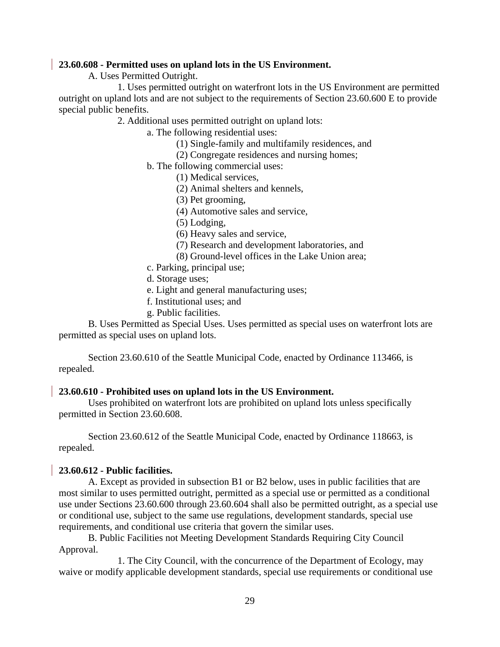#### **23.60.608 - Permitted uses on upland lots in the US Environment.**

A. Uses Permitted Outright.

1. Uses permitted outright on waterfront lots in the US Environment are permitted outright on upland lots and are not subject to the requirements of Section 23.60.600 E to provide special public benefits.

2. Additional uses permitted outright on upland lots:

a. The following residential uses:

- (1) Single-family and multifamily residences, and
- (2) Congregate residences and nursing homes;
- b. The following commercial uses:
	- (1) Medical services,
	- (2) Animal shelters and kennels,
	- (3) Pet grooming,
	- (4) Automotive sales and service,
	- (5) Lodging,
	- (6) Heavy sales and service,
	- (7) Research and development laboratories, and
	- (8) Ground-level offices in the Lake Union area;
- c. Parking, principal use;
- d. Storage uses;
- e. Light and general manufacturing uses;
- f. Institutional uses; and
- g. Public facilities.

B. Uses Permitted as Special Uses. Uses permitted as special uses on waterfront lots are permitted as special uses on upland lots.

Section 23.60.610 of the Seattle Municipal Code, enacted by Ordinance 113466, is repealed.

## **23.60.610 - Prohibited uses on upland lots in the US Environment.**

Uses prohibited on waterfront lots are prohibited on upland lots unless specifically permitted in Section 23.60.608.

Section 23.60.612 of the Seattle Municipal Code, enacted by Ordinance 118663, is repealed.

## **23.60.612 - Public facilities.**

A. Except as provided in subsection B1 or B2 below, uses in public facilities that are most similar to uses permitted outright, permitted as a special use or permitted as a conditional use under Sections 23.60.600 through 23.60.604 shall also be permitted outright, as a special use or conditional use, subject to the same use regulations, development standards, special use requirements, and conditional use criteria that govern the similar uses.

B. Public Facilities not Meeting Development Standards Requiring City Council Approval.

1. The City Council, with the concurrence of the Department of Ecology, may waive or modify applicable development standards, special use requirements or conditional use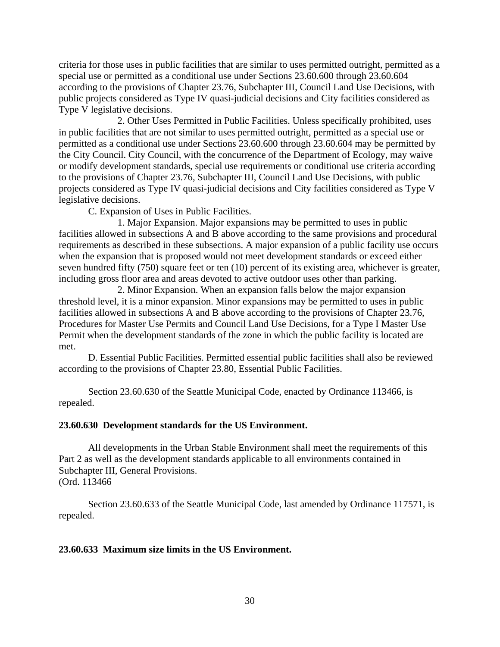criteria for those uses in public facilities that are similar to uses permitted outright, permitted as a special use or permitted as a conditional use under Sections 23.60.600 through 23.60.604 according to the provisions of Chapter 23.76, Subchapter III, Council Land Use Decisions, with public projects considered as Type IV quasi-judicial decisions and City facilities considered as Type V legislative decisions.

2. Other Uses Permitted in Public Facilities. Unless specifically prohibited, uses in public facilities that are not similar to uses permitted outright, permitted as a special use or permitted as a conditional use under Sections 23.60.600 through 23.60.604 may be permitted by the City Council. City Council, with the concurrence of the Department of Ecology, may waive or modify development standards, special use requirements or conditional use criteria according to the provisions of Chapter 23.76, Subchapter III, Council Land Use Decisions, with public projects considered as Type IV quasi-judicial decisions and City facilities considered as Type V legislative decisions.

C. Expansion of Uses in Public Facilities.

1. Major Expansion. Major expansions may be permitted to uses in public facilities allowed in subsections A and B above according to the same provisions and procedural requirements as described in these subsections. A major expansion of a public facility use occurs when the expansion that is proposed would not meet development standards or exceed either seven hundred fifty (750) square feet or ten (10) percent of its existing area, whichever is greater, including gross floor area and areas devoted to active outdoor uses other than parking.

2. Minor Expansion. When an expansion falls below the major expansion threshold level, it is a minor expansion. Minor expansions may be permitted to uses in public facilities allowed in subsections A and B above according to the provisions of Chapter 23.76, Procedures for Master Use Permits and Council Land Use Decisions, for a Type I Master Use Permit when the development standards of the zone in which the public facility is located are met.

D. Essential Public Facilities. Permitted essential public facilities shall also be reviewed according to the provisions of Chapter 23.80, Essential Public Facilities.

Section 23.60.630 of the Seattle Municipal Code, enacted by Ordinance 113466, is repealed.

#### **23.60.630 Development standards for the US Environment.**

All developments in the Urban Stable Environment shall meet the requirements of this Part 2 as well as the development standards applicable to all environments contained in Subchapter III, General Provisions. (Ord. 113466

Section 23.60.633 of the Seattle Municipal Code, last amended by Ordinance 117571, is repealed.

#### **23.60.633 Maximum size limits in the US Environment.**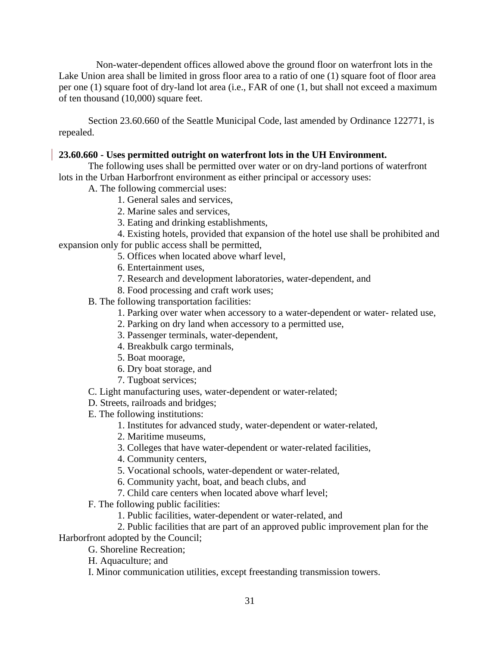Non-water-dependent offices allowed above the ground floor on waterfront lots in the Lake Union area shall be limited in gross floor area to a ratio of one (1) square foot of floor area per one (1) square foot of dry-land lot area (i.e., FAR of one (1, but shall not exceed a maximum of ten thousand (10,000) square feet.

Section 23.60.660 of the Seattle Municipal Code, last amended by Ordinance 122771, is repealed.

# **23.60.660 - Uses permitted outright on waterfront lots in the UH Environment.**

The following uses shall be permitted over water or on dry-land portions of waterfront lots in the Urban Harborfront environment as either principal or accessory uses:

A. The following commercial uses:

- 1. General sales and services,
- 2. Marine sales and services,
- 3. Eating and drinking establishments,

4. Existing hotels, provided that expansion of the hotel use shall be prohibited and expansion only for public access shall be permitted,

- 5. Offices when located above wharf level,
- 6. Entertainment uses,
- 7. Research and development laboratories, water-dependent, and
- 8. Food processing and craft work uses;
- B. The following transportation facilities:
	- 1. Parking over water when accessory to a water-dependent or water- related use,
	- 2. Parking on dry land when accessory to a permitted use,
	- 3. Passenger terminals, water-dependent,
	- 4. Breakbulk cargo terminals,
	- 5. Boat moorage,
	- 6. Dry boat storage, and
	- 7. Tugboat services;
- C. Light manufacturing uses, water-dependent or water-related;
- D. Streets, railroads and bridges;
- E. The following institutions:
	- 1. Institutes for advanced study, water-dependent or water-related,
	- 2. Maritime museums,
	- 3. Colleges that have water-dependent or water-related facilities,
	- 4. Community centers,
	- 5. Vocational schools, water-dependent or water-related,
	- 6. Community yacht, boat, and beach clubs, and
	- 7. Child care centers when located above wharf level;
- F. The following public facilities:
	- 1. Public facilities, water-dependent or water-related, and

2. Public facilities that are part of an approved public improvement plan for the Harborfront adopted by the Council;

- G. Shoreline Recreation;
	- H. Aquaculture; and
	- I. Minor communication utilities, except freestanding transmission towers.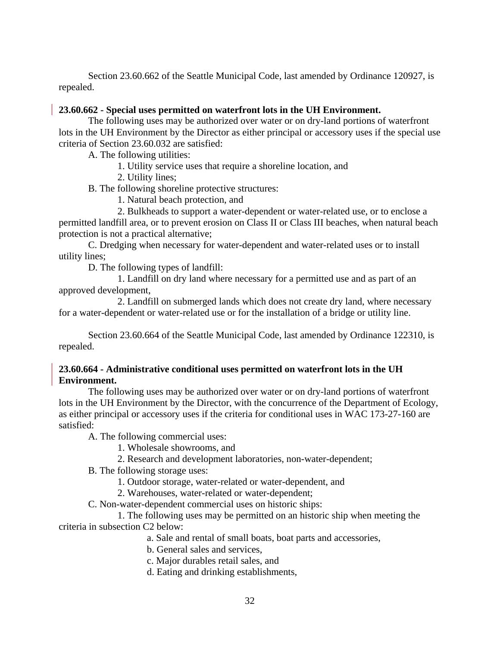Section 23.60.662 of the Seattle Municipal Code, last amended by Ordinance 120927, is repealed.

# **23.60.662 - Special uses permitted on waterfront lots in the UH Environment.**

The following uses may be authorized over water or on dry-land portions of waterfront lots in the UH Environment by the Director as either principal or accessory uses if the special use criteria of Section 23.60.032 are satisfied:

A. The following utilities:

- 1. Utility service uses that require a shoreline location, and
- 2. Utility lines;

B. The following shoreline protective structures:

1. Natural beach protection, and

2. Bulkheads to support a water-dependent or water-related use, or to enclose a permitted landfill area, or to prevent erosion on Class II or Class III beaches, when natural beach protection is not a practical alternative;

C. Dredging when necessary for water-dependent and water-related uses or to install utility lines;

D. The following types of landfill:

1. Landfill on dry land where necessary for a permitted use and as part of an approved development,

2. Landfill on submerged lands which does not create dry land, where necessary for a water-dependent or water-related use or for the installation of a bridge or utility line.

Section 23.60.664 of the Seattle Municipal Code, last amended by Ordinance 122310, is repealed.

# **23.60.664 - Administrative conditional uses permitted on waterfront lots in the UH Environment.**

The following uses may be authorized over water or on dry-land portions of waterfront lots in the UH Environment by the Director, with the concurrence of the Department of Ecology, as either principal or accessory uses if the criteria for conditional uses in WAC 173-27-160 are satisfied:

A. The following commercial uses:

- 1. Wholesale showrooms, and
- 2. Research and development laboratories, non-water-dependent;

B. The following storage uses:

- 1. Outdoor storage, water-related or water-dependent, and
- 2. Warehouses, water-related or water-dependent;

C. Non-water-dependent commercial uses on historic ships:

1. The following uses may be permitted on an historic ship when meeting the criteria in subsection C2 below:

a. Sale and rental of small boats, boat parts and accessories,

b. General sales and services,

- c. Major durables retail sales, and
- d. Eating and drinking establishments,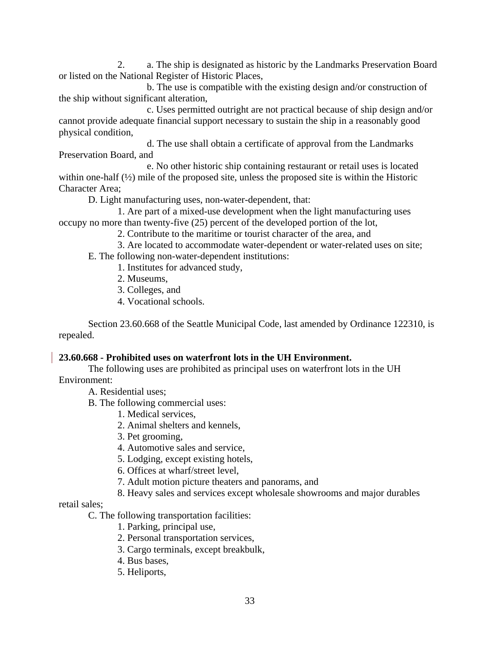2. a. The ship is designated as historic by the Landmarks Preservation Board or listed on the National Register of Historic Places,

b. The use is compatible with the existing design and/or construction of the ship without significant alteration,

c. Uses permitted outright are not practical because of ship design and/or cannot provide adequate financial support necessary to sustain the ship in a reasonably good physical condition,

d. The use shall obtain a certificate of approval from the Landmarks Preservation Board, and

e. No other historic ship containing restaurant or retail uses is located within one-half (½) mile of the proposed site, unless the proposed site is within the Historic Character Area;

D. Light manufacturing uses, non-water-dependent, that:

1. Are part of a mixed-use development when the light manufacturing uses occupy no more than twenty-five (25) percent of the developed portion of the lot,

2. Contribute to the maritime or tourist character of the area, and

3. Are located to accommodate water-dependent or water-related uses on site;

E. The following non-water-dependent institutions:

- 1. Institutes for advanced study,
- 2. Museums,
- 3. Colleges, and
- 4. Vocational schools.

Section 23.60.668 of the Seattle Municipal Code, last amended by Ordinance 122310, is repealed.

# **23.60.668 - Prohibited uses on waterfront lots in the UH Environment.**

The following uses are prohibited as principal uses on waterfront lots in the UH Environment:

A. Residential uses;

B. The following commercial uses:

1. Medical services,

- 2. Animal shelters and kennels,
- 3. Pet grooming,
- 4. Automotive sales and service,
- 5. Lodging, except existing hotels,
- 6. Offices at wharf/street level,
- 7. Adult motion picture theaters and panorams, and
- 8. Heavy sales and services except wholesale showrooms and major durables

# retail sales;

## C. The following transportation facilities:

- 1. Parking, principal use,
- 2. Personal transportation services,
- 3. Cargo terminals, except breakbulk,
- 4. Bus bases,
- 5. Heliports,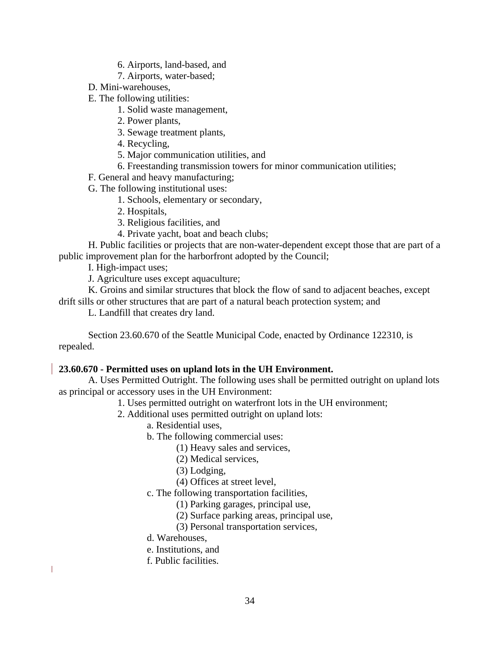- 6. Airports, land-based, and
- 7. Airports, water-based;
- D. Mini-warehouses,
- E. The following utilities:
	- 1. Solid waste management,
	- 2. Power plants,
	- 3. Sewage treatment plants,
	- 4. Recycling,
	- 5. Major communication utilities, and
	- 6. Freestanding transmission towers for minor communication utilities;
- F. General and heavy manufacturing;
- G. The following institutional uses:
	- 1. Schools, elementary or secondary,
	- 2. Hospitals,
	- 3. Religious facilities, and
	- 4. Private yacht, boat and beach clubs;

H. Public facilities or projects that are non-water-dependent except those that are part of a public improvement plan for the harborfront adopted by the Council;

I. High-impact uses;

J. Agriculture uses except aquaculture;

K. Groins and similar structures that block the flow of sand to adjacent beaches, except drift sills or other structures that are part of a natural beach protection system; and

L. Landfill that creates dry land.

Section 23.60.670 of the Seattle Municipal Code, enacted by Ordinance 122310, is repealed.

# **23.60.670 - Permitted uses on upland lots in the UH Environment.**

A. Uses Permitted Outright. The following uses shall be permitted outright on upland lots as principal or accessory uses in the UH Environment:

1. Uses permitted outright on waterfront lots in the UH environment;

- 2. Additional uses permitted outright on upland lots:
	- a. Residential uses,
	- b. The following commercial uses:
		- (1) Heavy sales and services,
		- (2) Medical services,
		- (3) Lodging,
		- (4) Offices at street level,
	- c. The following transportation facilities,
		- (1) Parking garages, principal use,
		- (2) Surface parking areas, principal use,
		- (3) Personal transportation services,
	- d. Warehouses,

 $\mathbf{I}$ 

- e. Institutions, and
- f. Public facilities.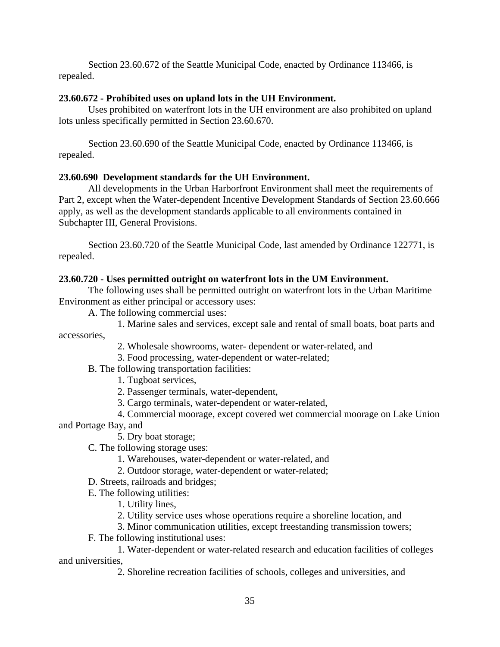Section 23.60.672 of the Seattle Municipal Code, enacted by Ordinance 113466, is repealed.

# **23.60.672 - Prohibited uses on upland lots in the UH Environment.**

Uses prohibited on waterfront lots in the UH environment are also prohibited on upland lots unless specifically permitted in Section 23.60.670.

Section 23.60.690 of the Seattle Municipal Code, enacted by Ordinance 113466, is repealed.

# **23.60.690 Development standards for the UH Environment.**

All developments in the Urban Harborfront Environment shall meet the requirements of Part 2, except when the Water-dependent Incentive Development Standards of Section 23.60.666 apply, as well as the development standards applicable to all environments contained in Subchapter III, General Provisions.

Section 23.60.720 of the Seattle Municipal Code, last amended by Ordinance 122771, is repealed.

# **23.60.720 - Uses permitted outright on waterfront lots in the UM Environment.**

The following uses shall be permitted outright on waterfront lots in the Urban Maritime Environment as either principal or accessory uses:

A. The following commercial uses:

1. Marine sales and services, except sale and rental of small boats, boat parts and

accessories,

- 2. Wholesale showrooms, water- dependent or water-related, and
- 3. Food processing, water-dependent or water-related;
- B. The following transportation facilities:
	- 1. Tugboat services,
	- 2. Passenger terminals, water-dependent,
	- 3. Cargo terminals, water-dependent or water-related,
- 4. Commercial moorage, except covered wet commercial moorage on Lake Union and Portage Bay, and
	- 5. Dry boat storage;
	- C. The following storage uses:
		- 1. Warehouses, water-dependent or water-related, and
		- 2. Outdoor storage, water-dependent or water-related;
	- D. Streets, railroads and bridges;
	- E. The following utilities:
		- 1. Utility lines,
		- 2. Utility service uses whose operations require a shoreline location, and
		- 3. Minor communication utilities, except freestanding transmission towers;
	- F. The following institutional uses:

1. Water-dependent or water-related research and education facilities of colleges and universities,

2. Shoreline recreation facilities of schools, colleges and universities, and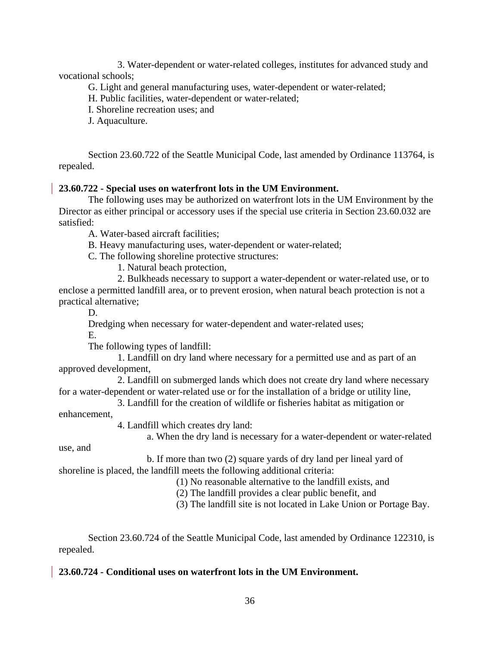3. Water-dependent or water-related colleges, institutes for advanced study and vocational schools;

G. Light and general manufacturing uses, water-dependent or water-related;

H. Public facilities, water-dependent or water-related;

I. Shoreline recreation uses; and

J. Aquaculture.

Section 23.60.722 of the Seattle Municipal Code, last amended by Ordinance 113764, is repealed.

## **23.60.722 - Special uses on waterfront lots in the UM Environment.**

The following uses may be authorized on waterfront lots in the UM Environment by the Director as either principal or accessory uses if the special use criteria in Section 23.60.032 are satisfied:

A. Water-based aircraft facilities;

B. Heavy manufacturing uses, water-dependent or water-related;

C. The following shoreline protective structures:

1. Natural beach protection,

2. Bulkheads necessary to support a water-dependent or water-related use, or to enclose a permitted landfill area, or to prevent erosion, when natural beach protection is not a practical alternative;

D.

Dredging when necessary for water-dependent and water-related uses;

E.

The following types of landfill:

1. Landfill on dry land where necessary for a permitted use and as part of an approved development,

2. Landfill on submerged lands which does not create dry land where necessary for a water-dependent or water-related use or for the installation of a bridge or utility line,

3. Landfill for the creation of wildlife or fisheries habitat as mitigation or enhancement,

4. Landfill which creates dry land:

a. When the dry land is necessary for a water-dependent or water-related

use, and

b. If more than two (2) square yards of dry land per lineal yard of shoreline is placed, the landfill meets the following additional criteria:

(1) No reasonable alternative to the landfill exists, and

(2) The landfill provides a clear public benefit, and

(3) The landfill site is not located in Lake Union or Portage Bay.

Section 23.60.724 of the Seattle Municipal Code, last amended by Ordinance 122310, is repealed.

## **23.60.724 - Conditional uses on waterfront lots in the UM Environment.**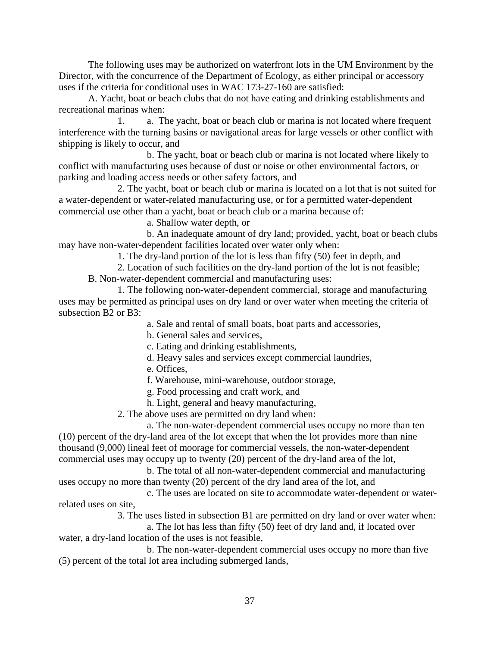The following uses may be authorized on waterfront lots in the UM Environment by the Director, with the concurrence of the Department of Ecology, as either principal or accessory uses if the criteria for conditional uses in WAC 173-27-160 are satisfied:

A. Yacht, boat or beach clubs that do not have eating and drinking establishments and recreational marinas when:

1. a. The yacht, boat or beach club or marina is not located where frequent interference with the turning basins or navigational areas for large vessels or other conflict with shipping is likely to occur, and

b. The yacht, boat or beach club or marina is not located where likely to conflict with manufacturing uses because of dust or noise or other environmental factors, or parking and loading access needs or other safety factors, and

2. The yacht, boat or beach club or marina is located on a lot that is not suited for a water-dependent or water-related manufacturing use, or for a permitted water-dependent commercial use other than a yacht, boat or beach club or a marina because of:

a. Shallow water depth, or

b. An inadequate amount of dry land; provided, yacht, boat or beach clubs may have non-water-dependent facilities located over water only when:

1. The dry-land portion of the lot is less than fifty (50) feet in depth, and

2. Location of such facilities on the dry-land portion of the lot is not feasible; B. Non-water-dependent commercial and manufacturing uses:

1. The following non-water-dependent commercial, storage and manufacturing uses may be permitted as principal uses on dry land or over water when meeting the criteria of subsection B2 or B3:

a. Sale and rental of small boats, boat parts and accessories,

b. General sales and services,

c. Eating and drinking establishments,

- d. Heavy sales and services except commercial laundries,
- e. Offices,

f. Warehouse, mini-warehouse, outdoor storage,

g. Food processing and craft work, and

h. Light, general and heavy manufacturing,

2. The above uses are permitted on dry land when:

a. The non-water-dependent commercial uses occupy no more than ten (10) percent of the dry-land area of the lot except that when the lot provides more than nine thousand (9,000) lineal feet of moorage for commercial vessels, the non-water-dependent

commercial uses may occupy up to twenty (20) percent of the dry-land area of the lot, b. The total of all non-water-dependent commercial and manufacturing

uses occupy no more than twenty (20) percent of the dry land area of the lot, and c. The uses are located on site to accommodate water-dependent or water-

related uses on site,

3. The uses listed in subsection B1 are permitted on dry land or over water when:

a. The lot has less than fifty (50) feet of dry land and, if located over water, a dry-land location of the uses is not feasible,

b. The non-water-dependent commercial uses occupy no more than five (5) percent of the total lot area including submerged lands,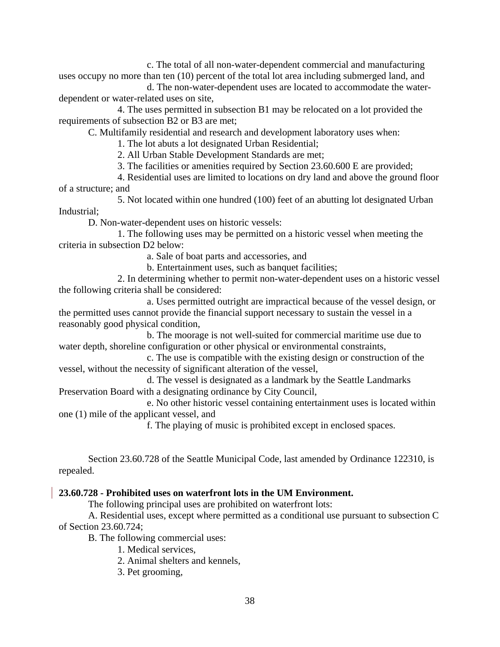c. The total of all non-water-dependent commercial and manufacturing uses occupy no more than ten (10) percent of the total lot area including submerged land, and

d. The non-water-dependent uses are located to accommodate the waterdependent or water-related uses on site,

4. The uses permitted in subsection B1 may be relocated on a lot provided the requirements of subsection B2 or B3 are met;

C. Multifamily residential and research and development laboratory uses when:

1. The lot abuts a lot designated Urban Residential;

2. All Urban Stable Development Standards are met;

3. The facilities or amenities required by Section 23.60.600 E are provided;

4. Residential uses are limited to locations on dry land and above the ground floor of a structure; and

5. Not located within one hundred (100) feet of an abutting lot designated Urban Industrial;

D. Non-water-dependent uses on historic vessels:

1. The following uses may be permitted on a historic vessel when meeting the criteria in subsection D2 below:

a. Sale of boat parts and accessories, and

b. Entertainment uses, such as banquet facilities;

2. In determining whether to permit non-water-dependent uses on a historic vessel the following criteria shall be considered:

a. Uses permitted outright are impractical because of the vessel design, or the permitted uses cannot provide the financial support necessary to sustain the vessel in a reasonably good physical condition,

b. The moorage is not well-suited for commercial maritime use due to water depth, shoreline configuration or other physical or environmental constraints,

c. The use is compatible with the existing design or construction of the vessel, without the necessity of significant alteration of the vessel,

d. The vessel is designated as a landmark by the Seattle Landmarks Preservation Board with a designating ordinance by City Council,

e. No other historic vessel containing entertainment uses is located within one (1) mile of the applicant vessel, and

f. The playing of music is prohibited except in enclosed spaces.

Section 23.60.728 of the Seattle Municipal Code, last amended by Ordinance 122310, is repealed.

# **23.60.728 - Prohibited uses on waterfront lots in the UM Environment.**

The following principal uses are prohibited on waterfront lots:

A. Residential uses, except where permitted as a conditional use pursuant to subsection C of Section 23.60.724;

B. The following commercial uses:

1. Medical services,

2. Animal shelters and kennels,

3. Pet grooming,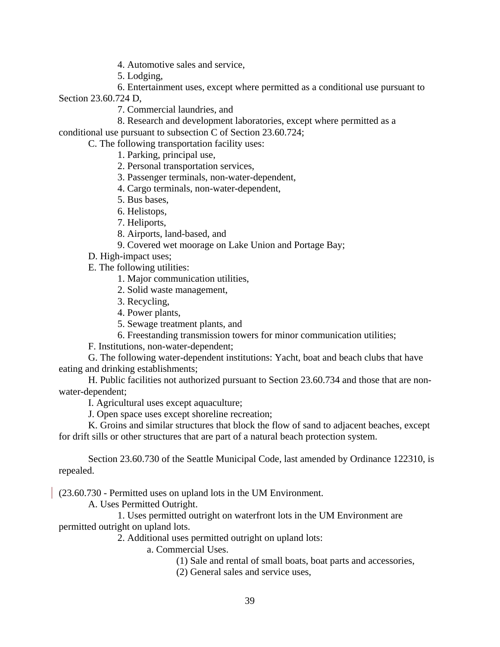4. Automotive sales and service,

5. Lodging,

6. Entertainment uses, except where permitted as a conditional use pursuant to Section 23.60.724 D,

7. Commercial laundries, and

8. Research and development laboratories, except where permitted as a conditional use pursuant to subsection C of Section 23.60.724;

C. The following transportation facility uses:

1. Parking, principal use,

2. Personal transportation services,

3. Passenger terminals, non-water-dependent,

4. Cargo terminals, non-water-dependent,

5. Bus bases,

6. Helistops,

7. Heliports,

8. Airports, land-based, and

9. Covered wet moorage on Lake Union and Portage Bay;

D. High-impact uses;

E. The following utilities:

1. Major communication utilities,

2. Solid waste management,

3. Recycling,

4. Power plants,

5. Sewage treatment plants, and

6. Freestanding transmission towers for minor communication utilities;

F. Institutions, non-water-dependent;

G. The following water-dependent institutions: Yacht, boat and beach clubs that have eating and drinking establishments;

H. Public facilities not authorized pursuant to Section 23.60.734 and those that are nonwater-dependent;

I. Agricultural uses except aquaculture;

J. Open space uses except shoreline recreation;

K. Groins and similar structures that block the flow of sand to adjacent beaches, except for drift sills or other structures that are part of a natural beach protection system.

Section 23.60.730 of the Seattle Municipal Code, last amended by Ordinance 122310, is repealed.

(23.60.730 - Permitted uses on upland lots in the UM Environment.

A. Uses Permitted Outright.

1. Uses permitted outright on waterfront lots in the UM Environment are permitted outright on upland lots.

2. Additional uses permitted outright on upland lots:

a. Commercial Uses.

(1) Sale and rental of small boats, boat parts and accessories,

(2) General sales and service uses,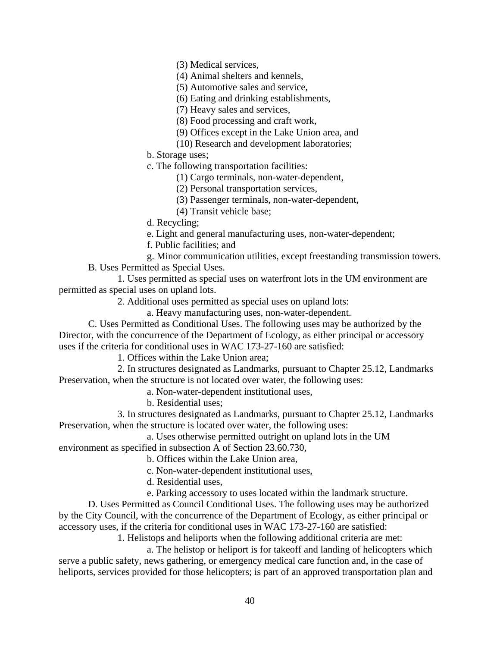(3) Medical services,

(4) Animal shelters and kennels,

(5) Automotive sales and service,

(6) Eating and drinking establishments,

(7) Heavy sales and services,

(8) Food processing and craft work,

(9) Offices except in the Lake Union area, and

(10) Research and development laboratories;

b. Storage uses;

c. The following transportation facilities:

(1) Cargo terminals, non-water-dependent,

(2) Personal transportation services,

(3) Passenger terminals, non-water-dependent,

(4) Transit vehicle base;

d. Recycling;

e. Light and general manufacturing uses, non-water-dependent;

f. Public facilities; and

g. Minor communication utilities, except freestanding transmission towers.

B. Uses Permitted as Special Uses.

1. Uses permitted as special uses on waterfront lots in the UM environment are permitted as special uses on upland lots.

2. Additional uses permitted as special uses on upland lots:

a. Heavy manufacturing uses, non-water-dependent.

C. Uses Permitted as Conditional Uses. The following uses may be authorized by the Director, with the concurrence of the Department of Ecology, as either principal or accessory uses if the criteria for conditional uses in WAC 173-27-160 are satisfied:

1. Offices within the Lake Union area;

2. In structures designated as Landmarks, pursuant to Chapter 25.12, Landmarks Preservation, when the structure is not located over water, the following uses:

a. Non-water-dependent institutional uses,

b. Residential uses;

3. In structures designated as Landmarks, pursuant to Chapter 25.12, Landmarks Preservation, when the structure is located over water, the following uses:

a. Uses otherwise permitted outright on upland lots in the UM environment as specified in subsection A of Section 23.60.730,

b. Offices within the Lake Union area,

c. Non-water-dependent institutional uses,

d. Residential uses,

e. Parking accessory to uses located within the landmark structure.

D. Uses Permitted as Council Conditional Uses. The following uses may be authorized by the City Council, with the concurrence of the Department of Ecology, as either principal or accessory uses, if the criteria for conditional uses in WAC 173-27-160 are satisfied:

1. Helistops and heliports when the following additional criteria are met:

a. The helistop or heliport is for takeoff and landing of helicopters which serve a public safety, news gathering, or emergency medical care function and, in the case of heliports, services provided for those helicopters; is part of an approved transportation plan and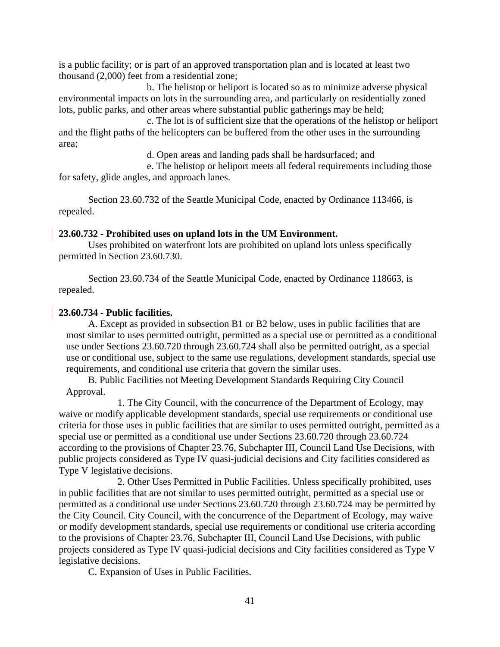is a public facility; or is part of an approved transportation plan and is located at least two thousand (2,000) feet from a residential zone;

b. The helistop or heliport is located so as to minimize adverse physical environmental impacts on lots in the surrounding area, and particularly on residentially zoned lots, public parks, and other areas where substantial public gatherings may be held;

c. The lot is of sufficient size that the operations of the helistop or heliport and the flight paths of the helicopters can be buffered from the other uses in the surrounding area;

d. Open areas and landing pads shall be hardsurfaced; and

e. The helistop or heliport meets all federal requirements including those for safety, glide angles, and approach lanes.

Section 23.60.732 of the Seattle Municipal Code, enacted by Ordinance 113466, is repealed.

#### **23.60.732 - Prohibited uses on upland lots in the UM Environment.**

Uses prohibited on waterfront lots are prohibited on upland lots unless specifically permitted in Section 23.60.730.

Section 23.60.734 of the Seattle Municipal Code, enacted by Ordinance 118663, is repealed.

#### **23.60.734 - Public facilities.**

A. Except as provided in subsection B1 or B2 below, uses in public facilities that are most similar to uses permitted outright, permitted as a special use or permitted as a conditional use under Sections 23.60.720 through 23.60.724 shall also be permitted outright, as a special use or conditional use, subject to the same use regulations, development standards, special use requirements, and conditional use criteria that govern the similar uses.

B. Public Facilities not Meeting Development Standards Requiring City Council Approval.

1. The City Council, with the concurrence of the Department of Ecology, may waive or modify applicable development standards, special use requirements or conditional use criteria for those uses in public facilities that are similar to uses permitted outright, permitted as a special use or permitted as a conditional use under Sections 23.60.720 through 23.60.724 according to the provisions of Chapter 23.76, Subchapter III, Council Land Use Decisions, with public projects considered as Type IV quasi-judicial decisions and City facilities considered as Type V legislative decisions.

2. Other Uses Permitted in Public Facilities. Unless specifically prohibited, uses in public facilities that are not similar to uses permitted outright, permitted as a special use or permitted as a conditional use under Sections 23.60.720 through 23.60.724 may be permitted by the City Council. City Council, with the concurrence of the Department of Ecology, may waive or modify development standards, special use requirements or conditional use criteria according to the provisions of Chapter 23.76, Subchapter III, Council Land Use Decisions, with public projects considered as Type IV quasi-judicial decisions and City facilities considered as Type V legislative decisions.

C. Expansion of Uses in Public Facilities.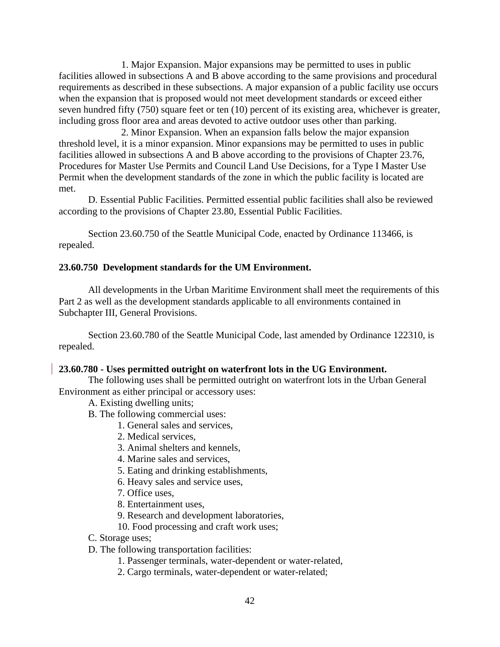1. Major Expansion. Major expansions may be permitted to uses in public facilities allowed in subsections A and B above according to the same provisions and procedural requirements as described in these subsections. A major expansion of a public facility use occurs when the expansion that is proposed would not meet development standards or exceed either seven hundred fifty (750) square feet or ten (10) percent of its existing area, whichever is greater, including gross floor area and areas devoted to active outdoor uses other than parking.

2. Minor Expansion. When an expansion falls below the major expansion threshold level, it is a minor expansion. Minor expansions may be permitted to uses in public facilities allowed in subsections A and B above according to the provisions of Chapter 23.76, Procedures for Master Use Permits and Council Land Use Decisions, for a Type I Master Use Permit when the development standards of the zone in which the public facility is located are met.

D. Essential Public Facilities. Permitted essential public facilities shall also be reviewed according to the provisions of Chapter 23.80, Essential Public Facilities.

Section 23.60.750 of the Seattle Municipal Code, enacted by Ordinance 113466, is repealed.

#### **23.60.750 Development standards for the UM Environment.**

All developments in the Urban Maritime Environment shall meet the requirements of this Part 2 as well as the development standards applicable to all environments contained in Subchapter III, General Provisions.

Section 23.60.780 of the Seattle Municipal Code, last amended by Ordinance 122310, is repealed.

#### **23.60.780 - Uses permitted outright on waterfront lots in the UG Environment.**

The following uses shall be permitted outright on waterfront lots in the Urban General Environment as either principal or accessory uses:

A. Existing dwelling units;

- B. The following commercial uses:
	- 1. General sales and services,
		- 2. Medical services,
		- 3. Animal shelters and kennels,
		- 4. Marine sales and services,
		- 5. Eating and drinking establishments,
		- 6. Heavy sales and service uses,
		- 7. Office uses,
		- 8. Entertainment uses,
		- 9. Research and development laboratories,
		- 10. Food processing and craft work uses;
- C. Storage uses;
- D. The following transportation facilities:
	- 1. Passenger terminals, water-dependent or water-related,
	- 2. Cargo terminals, water-dependent or water-related;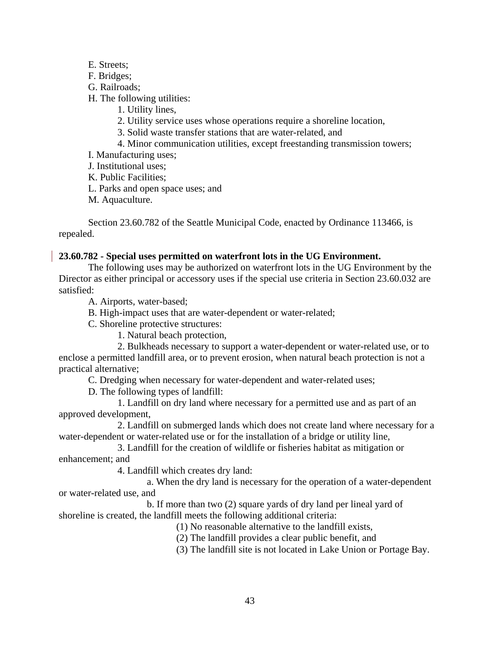- E. Streets;
- F. Bridges;
- G. Railroads;
- H. The following utilities:
	- 1. Utility lines,
	- 2. Utility service uses whose operations require a shoreline location,
	- 3. Solid waste transfer stations that are water-related, and
	- 4. Minor communication utilities, except freestanding transmission towers;

I. Manufacturing uses;

J. Institutional uses;

K. Public Facilities;

L. Parks and open space uses; and

M. Aquaculture.

Section 23.60.782 of the Seattle Municipal Code, enacted by Ordinance 113466, is repealed.

# **23.60.782 - Special uses permitted on waterfront lots in the UG Environment.**

The following uses may be authorized on waterfront lots in the UG Environment by the Director as either principal or accessory uses if the special use criteria in Section 23.60.032 are satisfied:

A. Airports, water-based;

B. High-impact uses that are water-dependent or water-related;

C. Shoreline protective structures:

1. Natural beach protection,

2. Bulkheads necessary to support a water-dependent or water-related use, or to enclose a permitted landfill area, or to prevent erosion, when natural beach protection is not a practical alternative;

C. Dredging when necessary for water-dependent and water-related uses;

D. The following types of landfill:

1. Landfill on dry land where necessary for a permitted use and as part of an approved development,

2. Landfill on submerged lands which does not create land where necessary for a water-dependent or water-related use or for the installation of a bridge or utility line,

3. Landfill for the creation of wildlife or fisheries habitat as mitigation or enhancement; and

4. Landfill which creates dry land:

a. When the dry land is necessary for the operation of a water-dependent or water-related use, and

b. If more than two (2) square yards of dry land per lineal yard of shoreline is created, the landfill meets the following additional criteria:

(1) No reasonable alternative to the landfill exists,

(2) The landfill provides a clear public benefit, and

(3) The landfill site is not located in Lake Union or Portage Bay.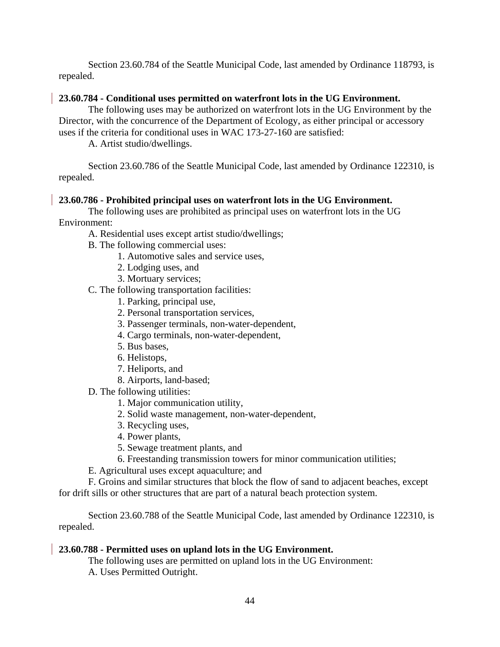Section 23.60.784 of the Seattle Municipal Code, last amended by Ordinance 118793, is repealed.

## **23.60.784 - Conditional uses permitted on waterfront lots in the UG Environment.**

The following uses may be authorized on waterfront lots in the UG Environment by the Director, with the concurrence of the Department of Ecology, as either principal or accessory uses if the criteria for conditional uses in WAC 173-27-160 are satisfied:

A. Artist studio/dwellings.

Section 23.60.786 of the Seattle Municipal Code, last amended by Ordinance 122310, is repealed.

# **23.60.786 - Prohibited principal uses on waterfront lots in the UG Environment.**

The following uses are prohibited as principal uses on waterfront lots in the UG Environment:

A. Residential uses except artist studio/dwellings;

- B. The following commercial uses:
	- 1. Automotive sales and service uses,
	- 2. Lodging uses, and
	- 3. Mortuary services;

C. The following transportation facilities:

- 1. Parking, principal use,
- 2. Personal transportation services,
- 3. Passenger terminals, non-water-dependent,
- 4. Cargo terminals, non-water-dependent,
- 5. Bus bases,
- 6. Helistops,
- 7. Heliports, and
- 8. Airports, land-based;
- D. The following utilities:
	- 1. Major communication utility,
	- 2. Solid waste management, non-water-dependent,
	- 3. Recycling uses,
	- 4. Power plants,
	- 5. Sewage treatment plants, and
	- 6. Freestanding transmission towers for minor communication utilities;

E. Agricultural uses except aquaculture; and

F. Groins and similar structures that block the flow of sand to adjacent beaches, except for drift sills or other structures that are part of a natural beach protection system.

Section 23.60.788 of the Seattle Municipal Code, last amended by Ordinance 122310, is repealed.

# **23.60.788 - Permitted uses on upland lots in the UG Environment.**

The following uses are permitted on upland lots in the UG Environment: A. Uses Permitted Outright.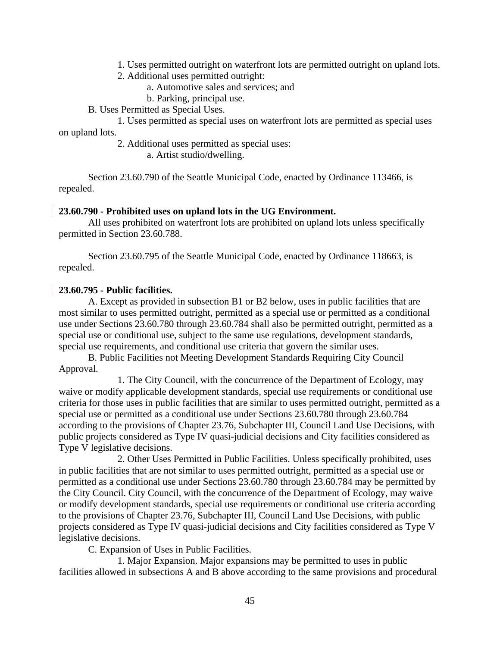- 1. Uses permitted outright on waterfront lots are permitted outright on upland lots.
- 2. Additional uses permitted outright:
	- a. Automotive sales and services; and
	- b. Parking, principal use.
- B. Uses Permitted as Special Uses.

1. Uses permitted as special uses on waterfront lots are permitted as special uses on upland lots.

2. Additional uses permitted as special uses:

a. Artist studio/dwelling.

Section 23.60.790 of the Seattle Municipal Code, enacted by Ordinance 113466, is repealed.

#### **23.60.790 - Prohibited uses on upland lots in the UG Environment.**

All uses prohibited on waterfront lots are prohibited on upland lots unless specifically permitted in Section 23.60.788.

Section 23.60.795 of the Seattle Municipal Code, enacted by Ordinance 118663, is repealed.

#### **23.60.795 - Public facilities.**

A. Except as provided in subsection B1 or B2 below, uses in public facilities that are most similar to uses permitted outright, permitted as a special use or permitted as a conditional use under Sections 23.60.780 through 23.60.784 shall also be permitted outright, permitted as a special use or conditional use, subject to the same use regulations, development standards, special use requirements, and conditional use criteria that govern the similar uses.

B. Public Facilities not Meeting Development Standards Requiring City Council Approval.

1. The City Council, with the concurrence of the Department of Ecology, may waive or modify applicable development standards, special use requirements or conditional use criteria for those uses in public facilities that are similar to uses permitted outright, permitted as a special use or permitted as a conditional use under Sections 23.60.780 through 23.60.784 according to the provisions of Chapter 23.76, Subchapter III, Council Land Use Decisions, with public projects considered as Type IV quasi-judicial decisions and City facilities considered as Type V legislative decisions.

2. Other Uses Permitted in Public Facilities. Unless specifically prohibited, uses in public facilities that are not similar to uses permitted outright, permitted as a special use or permitted as a conditional use under Sections 23.60.780 through 23.60.784 may be permitted by the City Council. City Council, with the concurrence of the Department of Ecology, may waive or modify development standards, special use requirements or conditional use criteria according to the provisions of Chapter 23.76, Subchapter III, Council Land Use Decisions, with public projects considered as Type IV quasi-judicial decisions and City facilities considered as Type V legislative decisions.

C. Expansion of Uses in Public Facilities.

1. Major Expansion. Major expansions may be permitted to uses in public facilities allowed in subsections A and B above according to the same provisions and procedural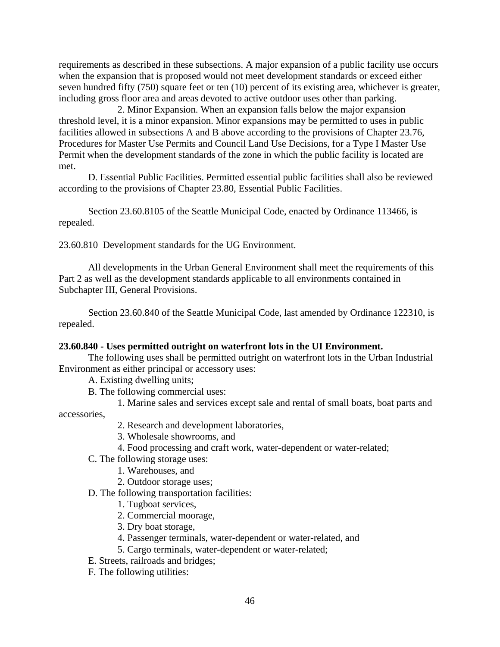requirements as described in these subsections. A major expansion of a public facility use occurs when the expansion that is proposed would not meet development standards or exceed either seven hundred fifty (750) square feet or ten (10) percent of its existing area, whichever is greater, including gross floor area and areas devoted to active outdoor uses other than parking.

2. Minor Expansion. When an expansion falls below the major expansion threshold level, it is a minor expansion. Minor expansions may be permitted to uses in public facilities allowed in subsections A and B above according to the provisions of Chapter 23.76, Procedures for Master Use Permits and Council Land Use Decisions, for a Type I Master Use Permit when the development standards of the zone in which the public facility is located are met.

D. Essential Public Facilities. Permitted essential public facilities shall also be reviewed according to the provisions of Chapter 23.80, Essential Public Facilities.

Section 23.60.8105 of the Seattle Municipal Code, enacted by Ordinance 113466, is repealed.

23.60.810 Development standards for the UG Environment.

All developments in the Urban General Environment shall meet the requirements of this Part 2 as well as the development standards applicable to all environments contained in Subchapter III, General Provisions.

Section 23.60.840 of the Seattle Municipal Code, last amended by Ordinance 122310, is repealed.

## **23.60.840 - Uses permitted outright on waterfront lots in the UI Environment.**

The following uses shall be permitted outright on waterfront lots in the Urban Industrial Environment as either principal or accessory uses:

A. Existing dwelling units;

B. The following commercial uses:

1. Marine sales and services except sale and rental of small boats, boat parts and

accessories,

- 2. Research and development laboratories,
- 3. Wholesale showrooms, and
- 4. Food processing and craft work, water-dependent or water-related;
- C. The following storage uses:
	- 1. Warehouses, and
	- 2. Outdoor storage uses;
- D. The following transportation facilities:
	- 1. Tugboat services,
	- 2. Commercial moorage,
	- 3. Dry boat storage,
	- 4. Passenger terminals, water-dependent or water-related, and
	- 5. Cargo terminals, water-dependent or water-related;
- E. Streets, railroads and bridges;
- F. The following utilities: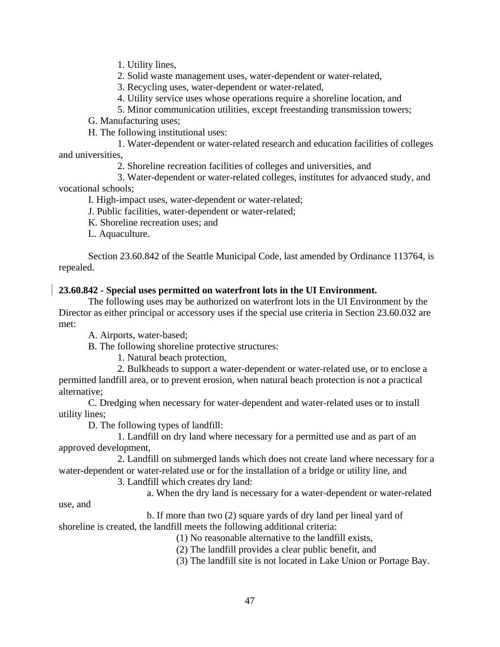1. Utility lines,

2. Solid waste management uses, water-dependent or water-related,

3. Recycling uses, water-dependent or water-related,

4. Utility service uses whose operations require a shoreline location, and

5. Minor communication utilities, except freestanding transmission towers;

G. Manufacturing uses;

H. The following institutional uses:

1. Water-dependent or water-related research and education facilities of colleges and universities,

2. Shoreline recreation facilities of colleges and universities, and

3. Water-dependent or water-related colleges, institutes for advanced study, and vocational schools;

I. High-impact uses, water-dependent or water-related;

J. Public facilities, water-dependent or water-related;

K. Shoreline recreation uses; and

L. Aquaculture.

Section 23.60.842 of the Seattle Municipal Code, last amended by Ordinance 113764, is repealed.

# **23.60.842 - Special uses permitted on waterfront lots in the UI Environment.**

The following uses may be authorized on waterfront lots in the UI Environment by the Director as either principal or accessory uses if the special use criteria in Section 23.60.032 are met:

A. Airports, water-based;

B. The following shoreline protective structures:

1. Natural beach protection,

2. Bulkheads to support a water-dependent or water-related use, or to enclose a permitted landfill area, or to prevent erosion, when natural beach protection is not a practical alternative;

C. Dredging when necessary for water-dependent and water-related uses or to install utility lines;

D. The following types of landfill:

1. Landfill on dry land where necessary for a permitted use and as part of an approved development,

2. Landfill on submerged lands which does not create land where necessary for a water-dependent or water-related use or for the installation of a bridge or utility line, and

3. Landfill which creates dry land:

a. When the dry land is necessary for a water-dependent or water-related

use, and

b. If more than two (2) square yards of dry land per lineal yard of shoreline is created, the landfill meets the following additional criteria:

(1) No reasonable alternative to the landfill exists,

(2) The landfill provides a clear public benefit, and

(3) The landfill site is not located in Lake Union or Portage Bay.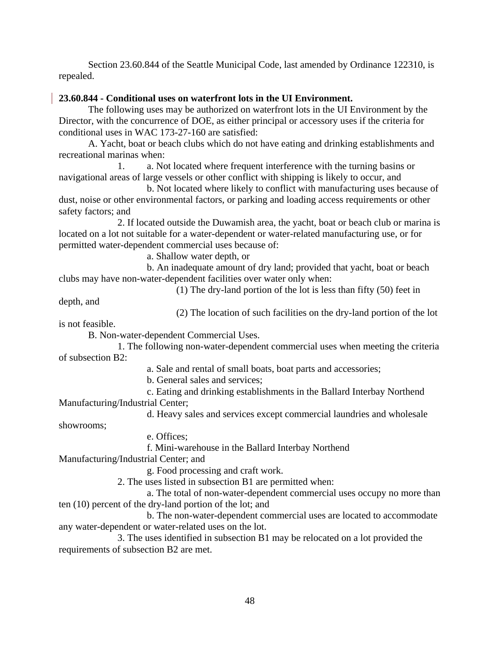Section 23.60.844 of the Seattle Municipal Code, last amended by Ordinance 122310, is repealed.

## **23.60.844 - Conditional uses on waterfront lots in the UI Environment.**

The following uses may be authorized on waterfront lots in the UI Environment by the Director, with the concurrence of DOE, as either principal or accessory uses if the criteria for conditional uses in WAC 173-27-160 are satisfied:

A. Yacht, boat or beach clubs which do not have eating and drinking establishments and recreational marinas when:

1. a. Not located where frequent interference with the turning basins or navigational areas of large vessels or other conflict with shipping is likely to occur, and

b. Not located where likely to conflict with manufacturing uses because of dust, noise or other environmental factors, or parking and loading access requirements or other safety factors; and

2. If located outside the Duwamish area, the yacht, boat or beach club or marina is located on a lot not suitable for a water-dependent or water-related manufacturing use, or for permitted water-dependent commercial uses because of:

a. Shallow water depth, or

b. An inadequate amount of dry land; provided that yacht, boat or beach clubs may have non-water-dependent facilities over water only when:

(1) The dry-land portion of the lot is less than fifty (50) feet in

depth, and

(2) The location of such facilities on the dry-land portion of the lot

is not feasible.

B. Non-water-dependent Commercial Uses.

1. The following non-water-dependent commercial uses when meeting the criteria of subsection B2:

- a. Sale and rental of small boats, boat parts and accessories;
- b. General sales and services;

c. Eating and drinking establishments in the Ballard Interbay Northend

Manufacturing/Industrial Center;

d. Heavy sales and services except commercial laundries and wholesale

showrooms;

e. Offices;

f. Mini-warehouse in the Ballard Interbay Northend

Manufacturing/Industrial Center; and

g. Food processing and craft work.

2. The uses listed in subsection B1 are permitted when:

a. The total of non-water-dependent commercial uses occupy no more than ten (10) percent of the dry-land portion of the lot; and

b. The non-water-dependent commercial uses are located to accommodate any water-dependent or water-related uses on the lot.

3. The uses identified in subsection B1 may be relocated on a lot provided the requirements of subsection B2 are met.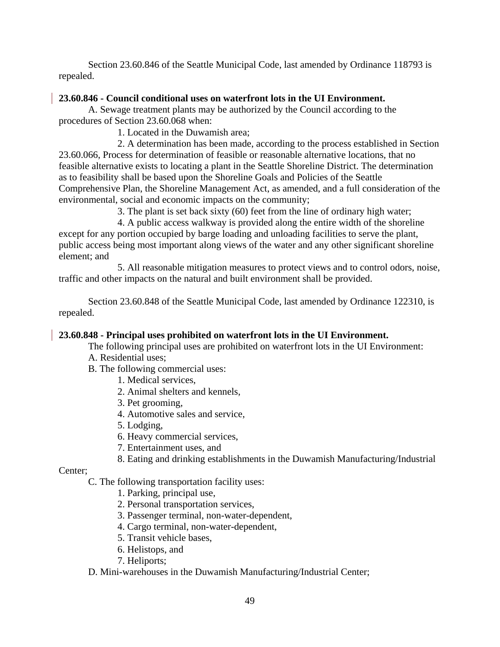Section 23.60.846 of the Seattle Municipal Code, last amended by Ordinance 118793 is repealed.

# **23.60.846 - Council conditional uses on waterfront lots in the UI Environment.**

A. Sewage treatment plants may be authorized by the Council according to the procedures of Section 23.60.068 when:

1. Located in the Duwamish area;

2. A determination has been made, according to the process established in Section 23.60.066, Process for determination of feasible or reasonable alternative locations, that no feasible alternative exists to locating a plant in the Seattle Shoreline District. The determination as to feasibility shall be based upon the Shoreline Goals and Policies of the Seattle Comprehensive Plan, the Shoreline Management Act, as amended, and a full consideration of the environmental, social and economic impacts on the community;

3. The plant is set back sixty (60) feet from the line of ordinary high water;

4. A public access walkway is provided along the entire width of the shoreline except for any portion occupied by barge loading and unloading facilities to serve the plant, public access being most important along views of the water and any other significant shoreline element; and

5. All reasonable mitigation measures to protect views and to control odors, noise, traffic and other impacts on the natural and built environment shall be provided.

Section 23.60.848 of the Seattle Municipal Code, last amended by Ordinance 122310, is repealed.

# **23.60.848 - Principal uses prohibited on waterfront lots in the UI Environment.**

The following principal uses are prohibited on waterfront lots in the UI Environment:

- A. Residential uses;
- B. The following commercial uses:
	- 1. Medical services,
	- 2. Animal shelters and kennels,
	- 3. Pet grooming,
	- 4. Automotive sales and service,
	- 5. Lodging,
	- 6. Heavy commercial services,
	- 7. Entertainment uses, and
	- 8. Eating and drinking establishments in the Duwamish Manufacturing/Industrial

Center;

C. The following transportation facility uses:

- 1. Parking, principal use,
- 2. Personal transportation services,
- 3. Passenger terminal, non-water-dependent,
- 4. Cargo terminal, non-water-dependent,
- 5. Transit vehicle bases,
- 6. Helistops, and
- 7. Heliports;

# D. Mini-warehouses in the Duwamish Manufacturing/Industrial Center;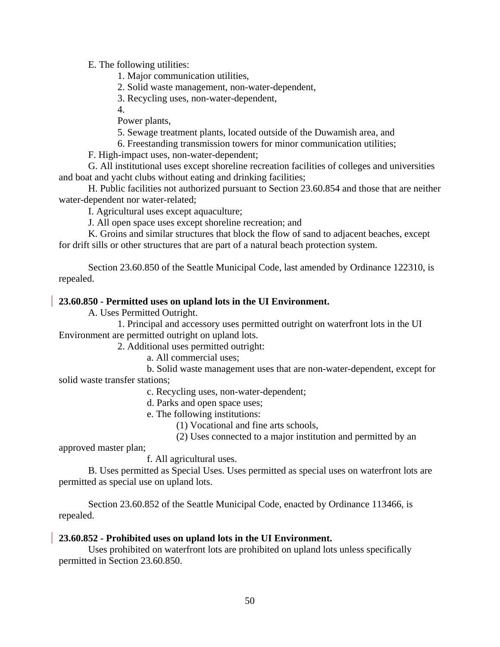E. The following utilities:

1. Major communication utilities,

2. Solid waste management, non-water-dependent,

3. Recycling uses, non-water-dependent,

4.

Power plants,

5. Sewage treatment plants, located outside of the Duwamish area, and

6. Freestanding transmission towers for minor communication utilities;

F. High-impact uses, non-water-dependent;

G. All institutional uses except shoreline recreation facilities of colleges and universities and boat and yacht clubs without eating and drinking facilities;

H. Public facilities not authorized pursuant to Section 23.60.854 and those that are neither water-dependent nor water-related;

I. Agricultural uses except aquaculture;

J. All open space uses except shoreline recreation; and

K. Groins and similar structures that block the flow of sand to adjacent beaches, except for drift sills or other structures that are part of a natural beach protection system.

Section 23.60.850 of the Seattle Municipal Code, last amended by Ordinance 122310, is repealed.

# **23.60.850 - Permitted uses on upland lots in the UI Environment.**

A. Uses Permitted Outright.

1. Principal and accessory uses permitted outright on waterfront lots in the UI Environment are permitted outright on upland lots.

2. Additional uses permitted outright:

a. All commercial uses;

b. Solid waste management uses that are non-water-dependent, except for solid waste transfer stations;

c. Recycling uses, non-water-dependent;

d. Parks and open space uses;

e. The following institutions:

(1) Vocational and fine arts schools,

(2) Uses connected to a major institution and permitted by an

approved master plan;

f. All agricultural uses.

B. Uses permitted as Special Uses. Uses permitted as special uses on waterfront lots are permitted as special use on upland lots.

Section 23.60.852 of the Seattle Municipal Code, enacted by Ordinance 113466, is repealed.

## **23.60.852 - Prohibited uses on upland lots in the UI Environment.**

Uses prohibited on waterfront lots are prohibited on upland lots unless specifically permitted in Section 23.60.850.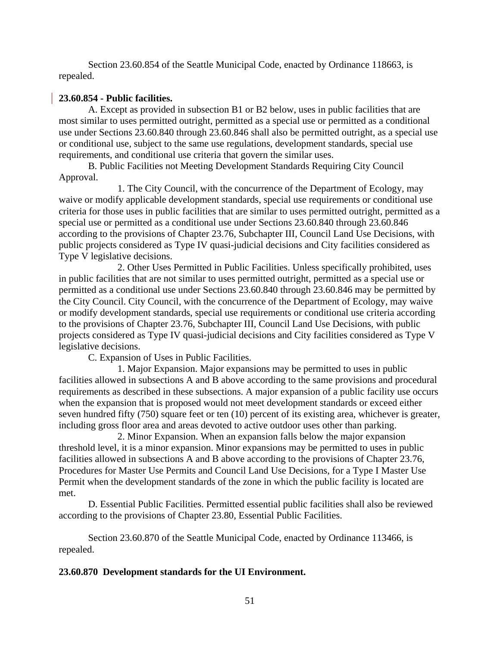Section 23.60.854 of the Seattle Municipal Code, enacted by Ordinance 118663, is repealed.

# **23.60.854 - Public facilities.**

A. Except as provided in subsection B1 or B2 below, uses in public facilities that are most similar to uses permitted outright, permitted as a special use or permitted as a conditional use under Sections 23.60.840 through 23.60.846 shall also be permitted outright, as a special use or conditional use, subject to the same use regulations, development standards, special use requirements, and conditional use criteria that govern the similar uses.

B. Public Facilities not Meeting Development Standards Requiring City Council Approval.

1. The City Council, with the concurrence of the Department of Ecology, may waive or modify applicable development standards, special use requirements or conditional use criteria for those uses in public facilities that are similar to uses permitted outright, permitted as a special use or permitted as a conditional use under Sections 23.60.840 through 23.60.846 according to the provisions of Chapter 23.76, Subchapter III, Council Land Use Decisions, with public projects considered as Type IV quasi-judicial decisions and City facilities considered as Type V legislative decisions.

2. Other Uses Permitted in Public Facilities. Unless specifically prohibited, uses in public facilities that are not similar to uses permitted outright, permitted as a special use or permitted as a conditional use under Sections 23.60.840 through 23.60.846 may be permitted by the City Council. City Council, with the concurrence of the Department of Ecology, may waive or modify development standards, special use requirements or conditional use criteria according to the provisions of Chapter 23.76, Subchapter III, Council Land Use Decisions, with public projects considered as Type IV quasi-judicial decisions and City facilities considered as Type V legislative decisions.

C. Expansion of Uses in Public Facilities.

1. Major Expansion. Major expansions may be permitted to uses in public facilities allowed in subsections A and B above according to the same provisions and procedural requirements as described in these subsections. A major expansion of a public facility use occurs when the expansion that is proposed would not meet development standards or exceed either seven hundred fifty (750) square feet or ten (10) percent of its existing area, whichever is greater, including gross floor area and areas devoted to active outdoor uses other than parking.

2. Minor Expansion. When an expansion falls below the major expansion threshold level, it is a minor expansion. Minor expansions may be permitted to uses in public facilities allowed in subsections A and B above according to the provisions of Chapter 23.76, Procedures for Master Use Permits and Council Land Use Decisions, for a Type I Master Use Permit when the development standards of the zone in which the public facility is located are met.

D. Essential Public Facilities. Permitted essential public facilities shall also be reviewed according to the provisions of Chapter 23.80, Essential Public Facilities.

Section 23.60.870 of the Seattle Municipal Code, enacted by Ordinance 113466, is repealed.

## **23.60.870 Development standards for the UI Environment.**